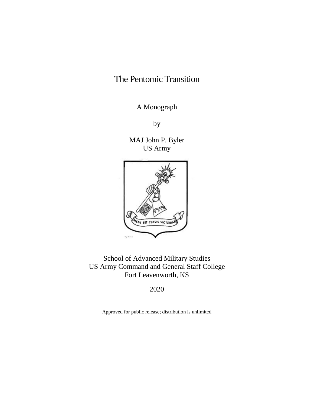# The Pentomic Transition

A Monograph

by

MAJ John P. Byler US Army



School of Advanced Military Studies US Army Command and General Staff College Fort Leavenworth, KS

2020

Approved for public release; distribution is unlimited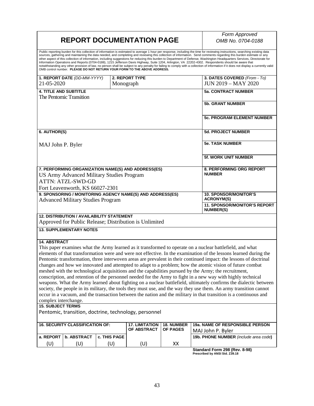## **REPORT DOCUMENTATION PAGE**

*Form Approved OMB No. 0704-0188*

Public reporting burden for this collection of information is estimated to average 1 hour per response, including the time for reviewing instructions, searching existing data<br>sources, gathering and maintaining the data nee

|                                                                                                                    | 1. REPORT DATE (DD-MM-YYYY)                      |              | 2. REPORT TYPE                                            |                                 | 3. DATES COVERED (From - To)                                                                                      |  |  |
|--------------------------------------------------------------------------------------------------------------------|--------------------------------------------------|--------------|-----------------------------------------------------------|---------------------------------|-------------------------------------------------------------------------------------------------------------------|--|--|
| 21-05-2020                                                                                                         |                                                  | Monograph    |                                                           |                                 | <b>JUN 2019 - MAY 2020</b>                                                                                        |  |  |
| <b>4. TITLE AND SUBTITLE</b>                                                                                       |                                                  |              |                                                           |                                 | <b>5a. CONTRACT NUMBER</b>                                                                                        |  |  |
|                                                                                                                    | The Pentomic Transition                          |              |                                                           |                                 |                                                                                                                   |  |  |
|                                                                                                                    |                                                  |              |                                                           |                                 | <b>5b. GRANT NUMBER</b>                                                                                           |  |  |
|                                                                                                                    |                                                  |              |                                                           |                                 |                                                                                                                   |  |  |
|                                                                                                                    |                                                  |              |                                                           |                                 |                                                                                                                   |  |  |
|                                                                                                                    |                                                  |              |                                                           |                                 | <b>5c. PROGRAM ELEMENT NUMBER</b>                                                                                 |  |  |
|                                                                                                                    |                                                  |              |                                                           |                                 |                                                                                                                   |  |  |
| 6. AUTHOR(S)                                                                                                       |                                                  |              |                                                           |                                 | <b>5d. PROJECT NUMBER</b>                                                                                         |  |  |
|                                                                                                                    |                                                  |              |                                                           |                                 |                                                                                                                   |  |  |
| MAJ John P. Byler                                                                                                  |                                                  |              |                                                           |                                 | <b>5e. TASK NUMBER</b>                                                                                            |  |  |
|                                                                                                                    |                                                  |              |                                                           |                                 |                                                                                                                   |  |  |
|                                                                                                                    |                                                  |              |                                                           |                                 | <b>5f. WORK UNIT NUMBER</b>                                                                                       |  |  |
|                                                                                                                    |                                                  |              |                                                           |                                 |                                                                                                                   |  |  |
|                                                                                                                    |                                                  |              | 7. PERFORMING ORGANIZATION NAME(S) AND ADDRESS(ES)        |                                 | 8. PERFORMING ORG REPORT                                                                                          |  |  |
|                                                                                                                    | <b>US Army Advanced Military Studies Program</b> |              |                                                           |                                 | <b>NUMBER</b>                                                                                                     |  |  |
|                                                                                                                    | <b>ATTN: ATZL-SWD-GD</b>                         |              |                                                           |                                 |                                                                                                                   |  |  |
|                                                                                                                    | Fort Leavenworth, KS 66027-2301                  |              |                                                           |                                 |                                                                                                                   |  |  |
|                                                                                                                    |                                                  |              | 9. SPONSORING / MONITORING AGENCY NAME(S) AND ADDRESS(ES) |                                 | <b>10. SPONSOR/MONITOR'S</b>                                                                                      |  |  |
|                                                                                                                    | <b>Advanced Military Studies Program</b>         |              |                                                           |                                 | <b>ACRONYM(S)</b>                                                                                                 |  |  |
|                                                                                                                    |                                                  |              |                                                           |                                 | 11. SPONSOR/MONITOR'S REPORT                                                                                      |  |  |
|                                                                                                                    |                                                  |              |                                                           |                                 | <b>NUMBER(S)</b>                                                                                                  |  |  |
|                                                                                                                    | <b>12. DISTRIBUTION / AVAILABILITY STATEMENT</b> |              |                                                           |                                 |                                                                                                                   |  |  |
|                                                                                                                    |                                                  |              | Approved for Public Release; Distribution is Unlimited    |                                 |                                                                                                                   |  |  |
| <b>13. SUPPLEMENTARY NOTES</b>                                                                                     |                                                  |              |                                                           |                                 |                                                                                                                   |  |  |
|                                                                                                                    |                                                  |              |                                                           |                                 |                                                                                                                   |  |  |
| <b>14. ABSTRACT</b>                                                                                                |                                                  |              |                                                           |                                 |                                                                                                                   |  |  |
| This paper examines what the Army learned as it transformed to operate on a nuclear battlefield, and what          |                                                  |              |                                                           |                                 |                                                                                                                   |  |  |
|                                                                                                                    |                                                  |              |                                                           |                                 | elements of that transformation were and were not effective. In the examination of the lessons learned during the |  |  |
|                                                                                                                    |                                                  |              |                                                           |                                 | Pentomic transformation, three interwoven areas are prevalent in their continued impact: the lessons of doctrinal |  |  |
|                                                                                                                    |                                                  |              |                                                           |                                 | changes and how we innovated and attempted to adapt to a problem; how the atomic vision of future combat          |  |  |
| meshed with the technological acquisitions and the capabilities pursued by the Army; the recruitment,              |                                                  |              |                                                           |                                 |                                                                                                                   |  |  |
| conscription, and retention of the personnel needed for the Army to fight in a new way with highly technical       |                                                  |              |                                                           |                                 |                                                                                                                   |  |  |
| weapons. What the Army learned about fighting on a nuclear battlefield, ultimately confirms the dialectic between  |                                                  |              |                                                           |                                 |                                                                                                                   |  |  |
| society, the people in its military, the tools they must use, and the way they use them. An army transition cannot |                                                  |              |                                                           |                                 |                                                                                                                   |  |  |
|                                                                                                                    |                                                  |              |                                                           |                                 | occur in a vacuum, and the transaction between the nation and the military in that transition is a continuous and |  |  |
| complex interchange.                                                                                               |                                                  |              |                                                           |                                 |                                                                                                                   |  |  |
| <b>15. SUBJECT TERMS</b>                                                                                           |                                                  |              |                                                           |                                 |                                                                                                                   |  |  |
|                                                                                                                    |                                                  |              | Pentomic, transition, doctrine, technology, personnel     |                                 |                                                                                                                   |  |  |
|                                                                                                                    |                                                  |              |                                                           |                                 |                                                                                                                   |  |  |
| <b>16. SECURITY CLASSIFICATION OF:</b><br><b>17. LIMITATION</b><br><b>18. NUMBER</b>                               |                                                  |              |                                                           | 19a. NAME OF RESPONSIBLE PERSON |                                                                                                                   |  |  |
|                                                                                                                    |                                                  |              | OF ABSTRACT                                               | <b>OF PAGES</b>                 | MAJ John P. Byler                                                                                                 |  |  |
| a. REPORT                                                                                                          | b. ABSTRACT                                      | c. THIS PAGE |                                                           |                                 | 19b. PHONE NUMBER (include area code)                                                                             |  |  |
| (U)                                                                                                                | (U)                                              | (U)          | (U)                                                       | XX                              |                                                                                                                   |  |  |

**Standard Form 298 (Rev. 8-98) Prescribed by ANSI Std. Z39.18**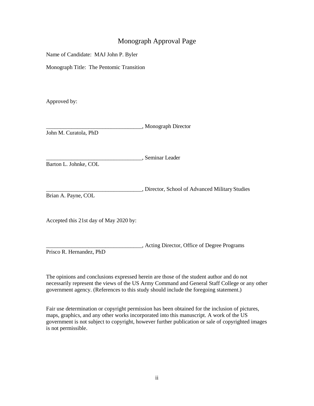### Monograph Approval Page

Name of Candidate: MAJ John P. Byler

Monograph Title: The Pentomic Transition

Approved by:

|                       | , Monograph Director |
|-----------------------|----------------------|
| John M. Curatola, PhD |                      |

\_\_\_\_\_\_\_\_\_\_\_\_\_\_\_\_\_\_\_\_\_\_\_\_\_\_\_\_\_\_\_\_\_\_, Seminar Leader

Barton L. Johnke, COL

\_\_\_\_\_\_\_\_\_\_\_\_\_\_\_\_\_\_\_\_\_\_\_\_\_\_\_\_\_\_\_\_\_\_, Director, School of Advanced Military Studies Brian A. Payne, COL

Accepted this 21st day of May 2020 by:

\_\_\_\_\_\_\_\_\_\_\_\_\_\_\_\_\_\_\_\_\_\_\_\_\_\_\_\_\_\_\_\_\_\_, Acting Director, Office of Degree Programs Prisco R. Hernandez, PhD

The opinions and conclusions expressed herein are those of the student author and do not necessarily represent the views of the US Army Command and General Staff College or any other government agency. (References to this study should include the foregoing statement.)

Fair use determination or copyright permission has been obtained for the inclusion of pictures, maps, graphics, and any other works incorporated into this manuscript. A work of the US government is not subject to copyright, however further publication or sale of copyrighted images is not permissible.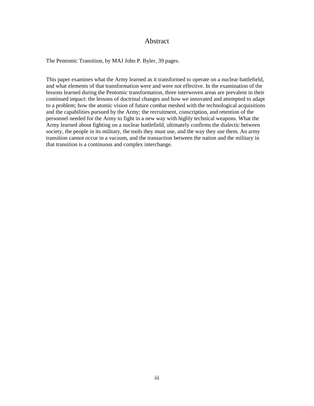#### Abstract

The Pentomic Transition, by MAJ John P. Byler, 39 pages.

This paper examines what the Army learned as it transformed to operate on a nuclear battlefield, and what elements of that transformation were and were not effective. In the examination of the lessons learned during the Pentomic transformation, three interwoven areas are prevalent in their continued impact: the lessons of doctrinal changes and how we innovated and attempted to adapt to a problem; how the atomic vision of future combat meshed with the technological acquisitions and the capabilities pursued by the Army; the recruitment, conscription, and retention of the personnel needed for the Army to fight in a new way with highly technical weapons. What the Army learned about fighting on a nuclear battlefield, ultimately confirms the dialectic between society, the people in its military, the tools they must use, and the way they use them. An army transition cannot occur in a vacuum, and the transaction between the nation and the military in that transition is a continuous and complex interchange.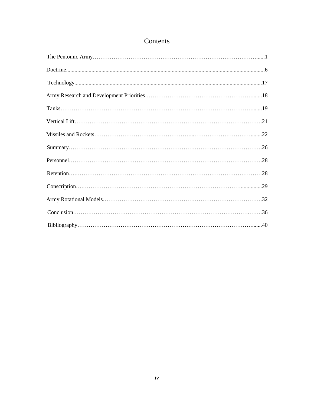## Contents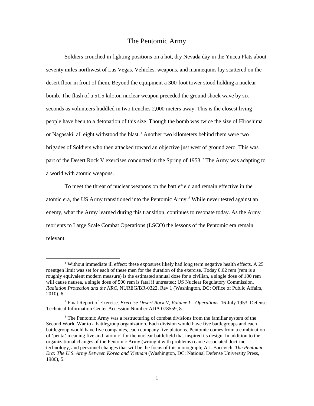#### The Pentomic Army

Soldiers crouched in fighting positions on a hot, dry Nevada day in the Yucca Flats about seventy miles northwest of Las Vegas. Vehicles, weapons, and mannequins lay scattered on the desert floor in front of them. Beyond the equipment a 300-foot tower stood holding a nuclear bomb. The flash of a 51.5 kiloton nuclear weapon preceded the ground shock wave by six seconds as volunteers huddled in two trenches 2,000 meters away. This is the closest living people have been to a detonation of this size. Though the bomb was twice the size of Hiroshima or Nagasaki, all eight withstood the blast.<sup>1</sup> Another two kilometers behind them were two brigades of Soldiers who then attacked toward an objective just west of ground zero. This was part of the Desert Rock V exercises conducted in the Spring of 1953.<sup>2</sup> The Army was adapting to a world with atomic weapons.

To meet the threat of nuclear weapons on the battlefield and remain effective in the atomic era, the US Army transitioned into the Pentomic Army.<sup>3</sup> While never tested against an enemy, what the Army learned during this transition, continues to resonate today. As the Army reorients to Large Scale Combat Operations (LSCO) the lessons of the Pentomic era remain relevant.

<sup>&</sup>lt;sup>1</sup> Without immediate ill effect: these exposures likely had long term negative health effects. A 25 roentgen limit was set for each of these men for the duration of the exercise. Today 0.62 rem (rem is a roughly equivalent modern measure) is the estimated annual dose for a civilian, a single dose of 100 rem will cause nausea, a single dose of 500 rem is fatal if untreated; US Nuclear Regulatory Commission, *Radiation Protection and the NRC,* NUREG/BR-0322, Rev 1 (Washington, DC: Office of Public Affairs, 2010), 6.

<sup>2</sup> Final Report of Exercise. *Exercise Desert Rock V, Volume I – Operations*, 16 July 1953. Defense Technical Information Center Accession Number ADA 078559, 8.

<sup>&</sup>lt;sup>3</sup> The Pentomic Army was a restructuring of combat divisions from the familiar system of the Second World War to a battlegroup organization. Each division would have five battlegroups and each battlegroup would have five companies, each company five platoons. Pentomic comes from a combination of 'penta' meaning five and 'atomic' for the nuclear battlefield that inspired its design. In addition to the organizational changes of the Pentomic Army (wrought with problems) came associated doctrine, technology, and personnel changes that will be the focus of this monograph; A.J. Bacevich. *The Pentomic Era: The U.S. Army Between Korea and Vietnam* (Washington, DC: National Defense University Press, 1986), 5.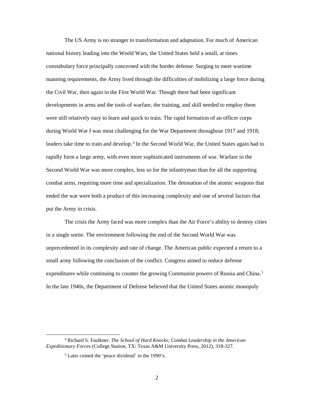The US Army is no stranger to transformation and adaptation. For much of American national history leading into the World Wars, the United States held a small, at times constabulary force principally concerned with the border defense. Surging to meet wartime manning requirements, the Army lived through the difficulties of mobilizing a large force during the Civil War, then again in the First World War. Though there had been significant developments in arms and the tools of warfare, the training, and skill needed to employ them were still relatively easy to learn and quick to train. The rapid formation of an officer corps during World War I was most challenging for the War Department throughout 1917 and 1918; leaders take time to train and develop.<sup>4</sup> In the Second World War, the United States again had to rapidly form a large army, with even more sophisticated instruments of war. Warfare in the Second World War was more complex, less so for the infantryman than for all the supporting combat arms, requiring more time and specialization. The detonation of the atomic weapons that ended the war were both a product of this increasing complexity and one of several factors that put the Army in crisis.

The crisis the Army faced was more complex than the Air Force's ability to destroy cities in a single sortie. The environment following the end of the Second World War was unprecedented in its complexity and rate of change. The American public expected a return to a small army following the conclusion of the conflict. Congress aimed to reduce defense expenditures while continuing to counter the growing Communist powers of Russia and China.<sup>5</sup> In the late 1940s, the Department of Defense believed that the United States atomic monopoly

<sup>4</sup> Richard S. Faulkner. *The School of Hard Knocks; Combat Leadership in the American Expeditionary Forces* (College Station, TX: Texas A&M University Press, 2012), 318-327.

<sup>5</sup> Later coined the 'peace dividend' in the 1990's.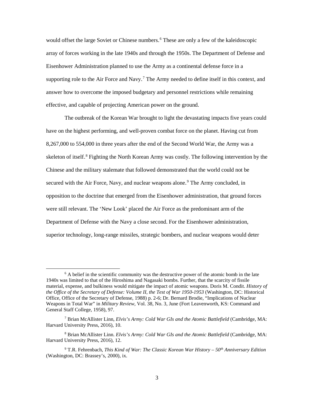would offset the large Soviet or Chinese numbers.<sup>6</sup> These are only a few of the kaleidoscopic array of forces working in the late 1940s and through the 1950s. The Department of Defense and Eisenhower Administration planned to use the Army as a continental defense force in a supporting role to the Air Force and Navy.<sup>7</sup> The Army needed to define itself in this context, and answer how to overcome the imposed budgetary and personnel restrictions while remaining effective, and capable of projecting American power on the ground.

The outbreak of the Korean War brought to light the devastating impacts five years could have on the highest performing, and well-proven combat force on the planet. Having cut from 8,267,000 to 554,000 in three years after the end of the Second World War, the Army was a skeleton of itself.<sup>8</sup> Fighting the North Korean Army was costly. The following intervention by the Chinese and the military stalemate that followed demonstrated that the world could not be secured with the Air Force, Navy, and nuclear weapons alone.<sup>9</sup> The Army concluded, in opposition to the doctrine that emerged from the Eisenhower administration, that ground forces were still relevant. The 'New Look' placed the Air Force as the predominant arm of the Department of Defense with the Navy a close second. For the Eisenhower administration, superior technology, long-range missiles, strategic bombers, and nuclear weapons would deter

 $6$  A belief in the scientific community was the destructive power of the atomic bomb in the late 1940s was limited to that of the Hiroshima and Nagasaki bombs. Further, that the scarcity of fissile material, expense, and bulkiness would mitigate the impact of atomic weapons. Doris M. Condit. *History of the Office of the Secretary of Defense: Volume II, the Test of War 1950-1953* (Washington, DC: Historical Office, Office of the Secretary of Defense, 1988) p. 2-6; Dr. Bernard Brodie, "Implications of Nuclear Weapons in Total War" in *Military Review,* Vol. 38, No. 3, June (Fort Leavenworth, KS: Command and General Staff College, 1958), 97.

<sup>7</sup> Brian McAllister Linn, *Elvis's Army: Cold War GIs and the Atomic Battlefield* (Cambridge, MA: Harvard University Press, 2016), 10.

<sup>8</sup> Brian McAllister Linn. *Elvis's Army: Cold War GIs and the Atomic Battlefield* (Cambridge, MA: Harvard University Press, 2016), 12.

<sup>&</sup>lt;sup>9</sup> T.R. Fehrenbach, *This Kind of War: The Classic Korean War History – 50<sup>th</sup> Anniversary Edition* (Washington, DC: Brassey's, 2000), ix.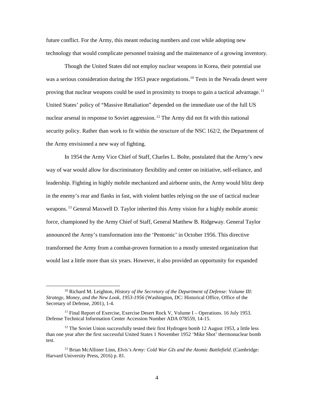future conflict. For the Army, this meant reducing numbers and cost while adopting new technology that would complicate personnel training and the maintenance of a growing inventory.

Though the United States did not employ nuclear weapons in Korea, their potential use was a serious consideration during the 1953 peace negotiations.<sup>10</sup> Tests in the Nevada desert were proving that nuclear weapons could be used in proximity to troops to gain a tactical advantage.<sup>11</sup> United States' policy of "Massive Retaliation" depended on the immediate use of the full US nuclear arsenal in response to Soviet aggression.<sup>12</sup> The Army did not fit with this national security policy. Rather than work to fit within the structure of the NSC 162/2, the Department of the Army envisioned a new way of fighting.

In 1954 the Army Vice Chief of Staff, Charles L. Bolte, postulated that the Army's new way of war would allow for discriminatory flexibility and center on initiative, self-reliance, and leadership. Fighting in highly mobile mechanized and airborne units, the Army would blitz deep in the enemy's rear and flanks in fast, with violent battles relying on the use of tactical nuclear weapons.<sup>13</sup> General Maxwell D. Taylor inherited this Army vision for a highly mobile atomic force, championed by the Army Chief of Staff, General Matthew B. Ridgeway. General Taylor announced the Army's transformation into the 'Pentomic' in October 1956. This directive transformed the Army from a combat-proven formation to a mostly untested organization that would last a little more than six years. However, it also provided an opportunity for expanded

<sup>&</sup>lt;sup>10</sup> Richard M. Leighton, *History of the Secretary of the Department of Defense: Volume III: Strategy, Money, and the New Look, 1953-1956* (Washington, DC: Historical Office, Office of the Secretary of Defense, 2001), 1-4.

<sup>&</sup>lt;sup>11</sup> Final Report of Exercise, Exercise Desert Rock V, Volume I – Operations. 16 July 1953. Defense Technical Information Center Accession Number ADA 078559, 14-15.

 $12$  The Soviet Union successfully tested their first Hydrogen bomb 12 August 1953, a little less than one year after the first successful United States 1 November 1952 'Mike Shot' thermonuclear bomb test.

<sup>13</sup> Brian McAllister Linn, *Elvis's Army: Cold War GIs and the Atomic Battlefield*. (Cambridge: Harvard University Press, 2016) p. 81.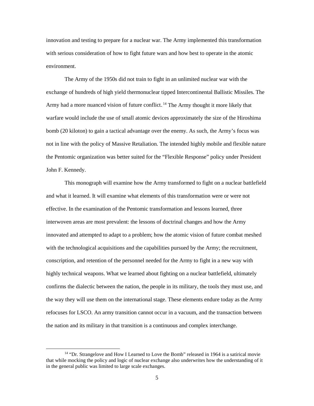innovation and testing to prepare for a nuclear war. The Army implemented this transformation with serious consideration of how to fight future wars and how best to operate in the atomic environment.

The Army of the 1950s did not train to fight in an unlimited nuclear war with the exchange of hundreds of high yield thermonuclear tipped Intercontinental Ballistic Missiles. The Army had a more nuanced vision of future conflict.<sup>14</sup> The Army thought it more likely that warfare would include the use of small atomic devices approximately the size of the Hiroshima bomb (20 kiloton) to gain a tactical advantage over the enemy. As such, the Army's focus was not in line with the policy of Massive Retaliation. The intended highly mobile and flexible nature the Pentomic organization was better suited for the "Flexible Response" policy under President John F. Kennedy.

This monograph will examine how the Army transformed to fight on a nuclear battlefield and what it learned. It will examine what elements of this transformation were or were not effective. In the examination of the Pentomic transformation and lessons learned, three interwoven areas are most prevalent: the lessons of doctrinal changes and how the Army innovated and attempted to adapt to a problem; how the atomic vision of future combat meshed with the technological acquisitions and the capabilities pursued by the Army; the recruitment, conscription, and retention of the personnel needed for the Army to fight in a new way with highly technical weapons. What we learned about fighting on a nuclear battlefield, ultimately confirms the dialectic between the nation, the people in its military, the tools they must use, and the way they will use them on the international stage. These elements endure today as the Army refocuses for LSCO. An army transition cannot occur in a vacuum, and the transaction between the nation and its military in that transition is a continuous and complex interchange.

<sup>&</sup>lt;sup>14</sup> "Dr. Strangelove and How I Learned to Love the Bomb" released in 1964 is a satirical movie that while mocking the policy and logic of nuclear exchange also underwrites how the understanding of it in the general public was limited to large scale exchanges.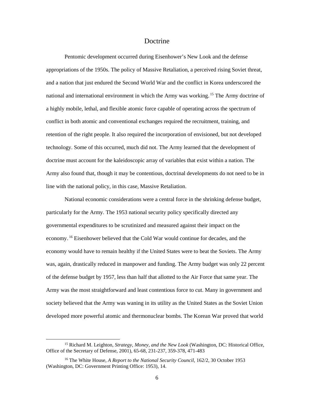#### Doctrine

Pentomic development occurred during Eisenhower's New Look and the defense appropriations of the 1950s. The policy of Massive Retaliation, a perceived rising Soviet threat, and a nation that just endured the Second World War and the conflict in Korea underscored the national and international environment in which the Army was working.<sup>15</sup> The Army doctrine of a highly mobile, lethal, and flexible atomic force capable of operating across the spectrum of conflict in both atomic and conventional exchanges required the recruitment, training, and retention of the right people. It also required the incorporation of envisioned, but not developed technology. Some of this occurred, much did not. The Army learned that the development of doctrine must account for the kaleidoscopic array of variables that exist within a nation. The Army also found that, though it may be contentious, doctrinal developments do not need to be in line with the national policy, in this case, Massive Retaliation.

National economic considerations were a central force in the shrinking defense budget, particularly for the Army. The 1953 national security policy specifically directed any governmental expenditures to be scrutinized and measured against their impact on the economy.<sup>16</sup> Eisenhower believed that the Cold War would continue for decades, and the economy would have to remain healthy if the United States were to beat the Soviets. The Army was, again, drastically reduced in manpower and funding. The Army budget was only 22 percent of the defense budget by 1957, less than half that allotted to the Air Force that same year. The Army was the most straightforward and least contentious force to cut. Many in government and society believed that the Army was waning in its utility as the United States as the Soviet Union developed more powerful atomic and thermonuclear bombs. The Korean War proved that world

<sup>15</sup> Richard M. Leighton, *Strategy, Money, and the New Look* (Washington, DC: Historical Office, Office of the Secretary of Defense, 2001), 65-68, 231-237, 359-378, 471-483

<sup>&</sup>lt;sup>16</sup> The White House, *A Report to the National Security Council*, 162/2, 30 October 1953 (Washington, DC: Government Printing Office: 1953), 14.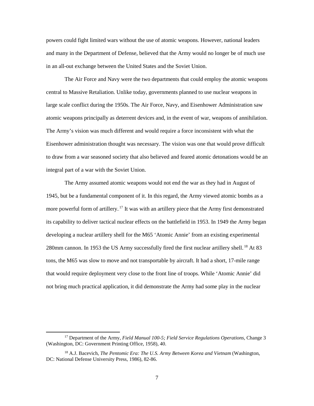powers could fight limited wars without the use of atomic weapons. However, national leaders and many in the Department of Defense, believed that the Army would no longer be of much use in an all-out exchange between the United States and the Soviet Union.

The Air Force and Navy were the two departments that could employ the atomic weapons central to Massive Retaliation. Unlike today, governments planned to use nuclear weapons in large scale conflict during the 1950s. The Air Force, Navy, and Eisenhower Administration saw atomic weapons principally as deterrent devices and, in the event of war, weapons of annihilation. The Army's vision was much different and would require a force inconsistent with what the Eisenhower administration thought was necessary. The vision was one that would prove difficult to draw from a war seasoned society that also believed and feared atomic detonations would be an integral part of a war with the Soviet Union.

The Army assumed atomic weapons would not end the war as they had in August of 1945, but be a fundamental component of it. In this regard, the Army viewed atomic bombs as a more powerful form of artillery.<sup>17</sup> It was with an artillery piece that the Army first demonstrated its capability to deliver tactical nuclear effects on the battlefield in 1953. In 1949 the Army began developing a nuclear artillery shell for the M65 'Atomic Annie' from an existing experimental 280mm cannon. In 1953 the US Army successfully fired the first nuclear artillery shell.<sup>18</sup> At 83 tons, the M65 was slow to move and not transportable by aircraft. It had a short, 17-mile range that would require deployment very close to the front line of troops. While 'Atomic Annie' did not bring much practical application, it did demonstrate the Army had some play in the nuclear

 $\overline{a}$ 

<sup>&</sup>lt;sup>17</sup> Department of the Army, *Field Manual 100-5; Field Service Regulations Operations*, Change 3 (Washington, DC: Government Printing Office, 1958), 40.

<sup>18</sup> A.J. Bacevich, *The Pentomic Era: The U.S. Army Between Korea and Vietnam* (Washington, DC: National Defense University Press, 1986), 82-86.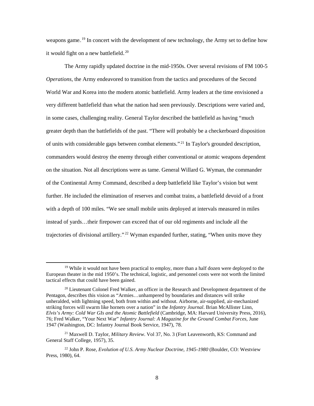weapons game.<sup>19</sup> In concert with the development of new technology, the Army set to define how it would fight on a new battlefield.<sup>20</sup>

The Army rapidly updated doctrine in the mid-1950s. Over several revisions of FM 100-5 *Operations,* the Army endeavored to transition from the tactics and procedures of the Second World War and Korea into the modern atomic battlefield. Army leaders at the time envisioned a very different battlefield than what the nation had seen previously. Descriptions were varied and, in some cases, challenging reality. General Taylor described the battlefield as having "much greater depth than the battlefields of the past. "There will probably be a checkerboard disposition of units with considerable gaps between combat elements."<sup>21</sup> In Taylor's grounded description, commanders would destroy the enemy through either conventional or atomic weapons dependent on the situation. Not all descriptions were as tame. General Willard G. Wyman, the commander of the Continental Army Command, described a deep battlefield like Taylor's vision but went further. He included the elimination of reserves and combat trains, a battlefield devoid of a front with a depth of 100 miles. "We see small mobile units deployed at intervals measured in miles instead of yards…their firepower can exceed that of our old regiments and include all the trajectories of divisional artillery."<sup>22</sup> Wyman expanded further, stating, "When units move they

<sup>&</sup>lt;sup>19</sup> While it would not have been practical to employ, more than a half dozen were deployed to the European theater in the mid 1950's. The technical, logistic, and personnel costs were not worth the limited tactical effects that could have been gained.

 $20$  Lieutenant Colonel Fred Walker, an officer in the Research and Development department of the Pentagon, describes this vision as "Armies…unhampered by boundaries and distances will strike unheralded, with lightning speed, both from within and without. Airborne, air-supplied, air-mechanized striking forces will swarm like hornets over a nation" in the *Infantry Journal*. Brian McAllister Linn, *Elvis's Army: Cold War GIs and the Atomic Battlefield* (Cambridge, MA: Harvard University Press, 2016), 76; Fred Walker, "Your Next War" *Infantry Journal: A Magazine for the Ground Combat Forces,* June 1947 (Washington, DC: Infantry Journal Book Service, 1947), 78.

<sup>21</sup> Maxwell D. Taylor, *Military Review*. Vol 37, No. 3 (Fort Leavenworth, KS: Command and General Staff College, 1957), 35.

<sup>22</sup> John P. Rose, *Evolution of U.S. Army Nuclear Doctrine, 1945-1980* (Boulder, CO: Westview Press, 1980), 64.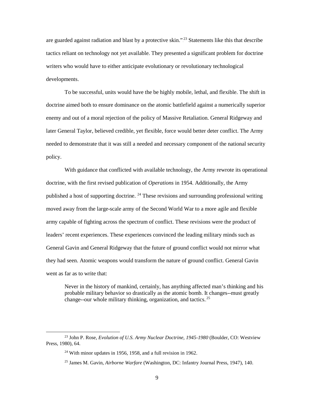are guarded against radiation and blast by a protective skin."<sup>23</sup> Statements like this that describe tactics reliant on technology not yet available. They presented a significant problem for doctrine writers who would have to either anticipate evolutionary or revolutionary technological developments.

To be successful, units would have the be highly mobile, lethal, and flexible. The shift in doctrine aimed both to ensure dominance on the atomic battlefield against a numerically superior enemy and out of a moral rejection of the policy of Massive Retaliation. General Ridgeway and later General Taylor, believed credible, yet flexible, force would better deter conflict. The Army needed to demonstrate that it was still a needed and necessary component of the national security policy.

With guidance that conflicted with available technology, the Army rewrote its operational doctrine, with the first revised publication of *Operations* in 1954. Additionally, the Army published a host of supporting doctrine. <sup>24</sup> These revisions and surrounding professional writing moved away from the large-scale army of the Second World War to a more agile and flexible army capable of fighting across the spectrum of conflict. These revisions were the product of leaders' recent experiences. These experiences convinced the leading military minds such as General Gavin and General Ridgeway that the future of ground conflict would not mirror what they had seen. Atomic weapons would transform the nature of ground conflict. General Gavin went as far as to write that:

Never in the history of mankind, certainly, has anything affected man's thinking and his probable military behavior so drastically as the atomic bomb. It changes--must greatly change--our whole military thinking, organization, and tactics.<sup>25</sup>

 $\overline{a}$ 

<sup>23</sup> John P. Rose, *Evolution of U.S. Army Nuclear Doctrine, 1945-1980* (Boulder, CO: Westview Press, 1980), 64.

<sup>24</sup> With minor updates in 1956, 1958, and a full revision in 1962.

<sup>25</sup> James M. Gavin, *Airborne Warfare* (Washington, DC: Infantry Journal Press, 1947), 140.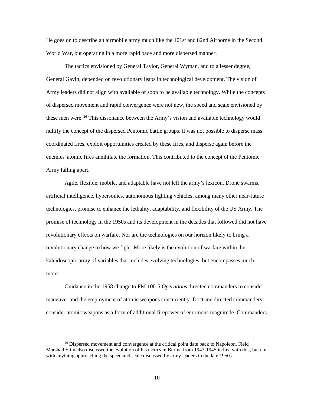He goes on to describe an airmobile army much like the 101st and 82nd Airborne in the Second World War, but operating in a more rapid pace and more dispersed manner.

The tactics envisioned by General Taylor, General Wyman, and to a lesser degree, General Gavin, depended on revolutionary leaps in technological development. The vision of Army leaders did not align with available or soon to be available technology. While the concepts of dispersed movement and rapid convergence were not new, the speed and scale envisioned by these men were.<sup>26</sup> This dissonance between the Army's vision and available technology would nullify the concept of the dispersed Pentomic battle groups. It was not possible to disperse mass coordinated fires, exploit opportunities created by these fires, and disperse again before the enemies' atomic fires annihilate the formation. This contributed to the concept of the Pentomic Army falling apart.

Agile, flexible, mobile, and adaptable have not left the army's lexicon. Drone swarms, artificial intelligence, hypersonics, autonomous fighting vehicles, among many other near-future technologies, promise to enhance the lethality, adaptability, and flexibility of the US Army. The promise of technology in the 1950s and its development in the decades that followed did not have revolutionary effects on warfare. Nor are the technologies on our horizon likely to bring a revolutionary change to how we fight. More likely is the evolution of warfare within the kaleidoscopic array of variables that includes evolving technologies, but encompasses much more.

Guidance in the 1958 change to FM 100-5 *Operations* directed commanders to consider maneuver and the employment of atomic weapons concurrently. Doctrine directed commanders consider atomic weapons as a form of additional firepower of enormous magnitude. Commanders

<sup>&</sup>lt;sup>26</sup> Dispersed movement and convergence at the critical point date back to Napoleon. Field Marshall Slim also discussed the evolution of his tactics in Burma from 1943-1945 in line with this, but not with anything approaching the speed and scale discussed by army leaders in the late 1950s.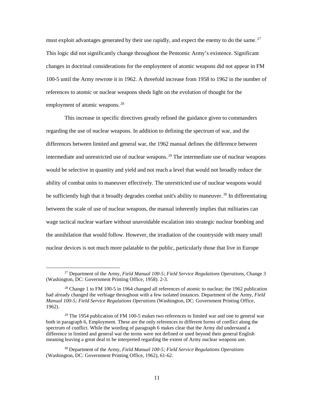must exploit advantages generated by their use rapidly, and expect the enemy to do the same.<sup>27</sup> This logic did not significantly change throughout the Pentomic Army's existence. Significant changes in doctrinal considerations for the employment of atomic weapons did not appear in FM 100-5 until the Army rewrote it in 1962. A threefold increase from 1958 to 1962 in the number of references to atomic or nuclear weapons sheds light on the evolution of thought for the employment of atomic weapons.<sup>28</sup>

This increase in specific directives greatly refined the guidance given to commanders regarding the use of nuclear weapons. In addition to defining the spectrum of war, and the differences between limited and general war, the 1962 manual defines the difference between intermediate and unrestricted use of nuclear weapons.<sup>29</sup> The intermediate use of nuclear weapons would be selective in quantity and yield and not reach a level that would not broadly reduce the ability of combat units to maneuver effectively. The unrestricted use of nuclear weapons would be sufficiently high that it broadly degrades combat unit's ability to maneuver.<sup>30</sup> In differentiating between the scale of use of nuclear weapons, the manual inherently implies that militaries can wage tactical nuclear warfare without unavoidable escalation into strategic nuclear bombing and the annihilation that would follow. However, the irradiation of the countryside with many small nuclear devices is not much more palatable to the public, particularly those that live in Europe

<sup>&</sup>lt;sup>27</sup> Department of the Army, *Field Manual 100-5; Field Service Regulations Operations*, Change 3 (Washington, DC: Government Printing Office, 1958). 2-3.

<sup>&</sup>lt;sup>28</sup> Change 1 to FM 100-5 in 1964 changed all references of atomic to nuclear; the 1962 publication had already changed the verbiage throughout with a few isolated instances. Department of the Army, *Field Manual 100-5; Field Service Regulations Operations* (Washington, DC: Government Printing Office, 1962).

 $29$  The 1954 publication of FM 100-5 makes two references to limited war and one to general war both in paragraph 6, Employment. These are the only references to different forms of conflict along the spectrum of conflict. While the wording of paragraph 6 makes clear that the Army did understand a difference in limited and general war the terms were not defined or used beyond their general English meaning leaving a great deal to be interpreted regarding the extent of Army nuclear weapons use.

<sup>30</sup> Department of the Army, *Field Manual 100-5; Field Service Regulations Operations*  (Washington, DC: Government Printing Office, 1962), 61-62.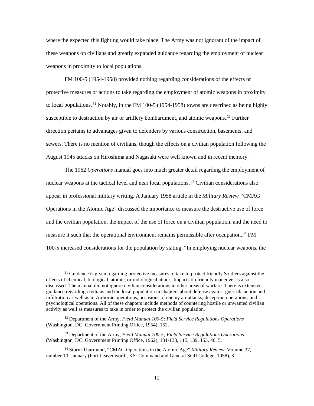where the expected this fighting would take place. The Army was not ignorant of the impact of these weapons on civilians and greatly expanded guidance regarding the employment of nuclear weapons in proximity to local populations.

FM 100-5 (1954-1958) provided nothing regarding considerations of the effects or protective measures or actions to take regarding the employment of atomic weapons in proximity to local populations.<sup>31</sup> Notably, in the FM 100-5 (1954-1958) towns are described as being highly susceptible to destruction by air or artillery bombardment, and atomic weapons. $32$  Further direction pertains to advantages given to defenders by various construction, basements, and sewers. There is no mention of civilians, though the effects on a civilian population following the August 1945 attacks on Hiroshima and Nagasaki were well known and in recent memory.

The 1962 *Operations* manual goes into much greater detail regarding the employment of nuclear weapons at the tactical level and near local populations.<sup>33</sup> Civilian considerations also appear in professional military writing. A January 1958 article in the *Military Review "*CMAG Operations in the Atomic Age" discussed the importance to measure the destructive use of force and the civilian population, the impact of the use of force on a civilian population, and the need to measure it such that the operational environment remains permissible after occupation.<sup>34</sup> FM 100-5 increased considerations for the population by stating, "In employing nuclear weapons, the

 $\overline{a}$ 

<sup>&</sup>lt;sup>31</sup> Guidance is given regarding protective measures to take to protect friendly Soldiers against the effects of chemical, biological, atomic, or radiological attack. Impacts on friendly maneuver is also discussed. The manual did not ignore civilian considerations in other areas of warfare. There is extensive guidance regarding civilians and the local population in chapters about defense against guerrilla action and infiltration as well as in Airborne operations, occasions of enemy air attacks, deception operations, and psychological operations. All of these chapters include methods of countering hostile or unwanted civilian activity as well as measures to take in order to protect the civilian population.

<sup>32</sup> Department of the Army, *Field Manual 100-5; Field Service Regulations Operations*  (Washington, DC: Government Printing Office, 1954), 152.

<sup>33</sup> Department of the Army, *Field Manual 100-5; Field Service Regulations Operations*  (Washington, DC: Government Printing Office, 1962), 131-133, 115, 139, 153, 40, 5.

<sup>34</sup> Storm Thurmond, "CMAG Operations in the Atomic Age" *Military Review,* Volume 37, number 10, January (Fort Leavenworth, KS: Command and General Staff College, 1958), 3.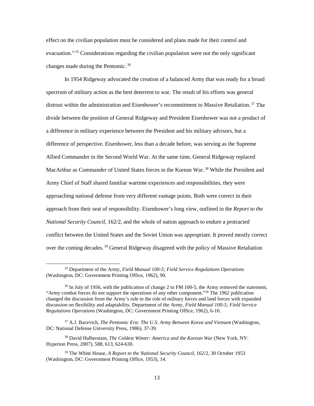effect on the civilian population must be considered and plans made for their control and evacuation."<sup>35</sup> Considerations regarding the civilian population were not the only significant changes made during the Pentomic.<sup>36</sup>

In 1954 Ridgeway advocated the creation of a balanced Army that was ready for a broad spectrum of military action as the best deterrent to war. The result of his efforts was general distrust within the administration and Eisenhower's recommitment to Massive Retaliation.<sup>37</sup> The divide between the position of General Ridgeway and President Eisenhower was not a product of a difference in military experience between the President and his military advisors, but a difference of perspective. Eisenhower, less than a decade before, was serving as the Supreme Allied Commander in the Second World War. At the same time, General Ridgeway replaced MacArthur as Commander of United States forces in the Korean War.<sup>38</sup> While the President and Army Chief of Staff shared familiar wartime experiences and responsibilities, they were approaching national defense from very different vantage points. Both were correct in their approach from their seat of responsibility. Eisenhower's long view, outlined in the *Report to the National Security Council,* 162/2, and the whole of nation approach to endure a protracted conflict between the United States and the Soviet Union was appropriate. It proved mostly correct over the coming decades.<sup>39</sup> General Ridgeway disagreed with the policy of Massive Retaliation

<sup>35</sup> Department of the Army, *Field Manual 100-5; Field Service Regulations Operations*  (Washington, DC: Government Printing Office, 1962), 90.

<sup>&</sup>lt;sup>36</sup> In July of 1956, with the publication of change 2 to FM 100-5, the Army removed the statement, "Army combat forces do not support the operations of any other component."36 The 1962 publication changed the discussion from the Army's role to the role of military forces and land forces with expanded discussion on flexibility and adaptability. Department of the Army, *Field Manual 100-5; Field Service Regulations Operations* (Washington, DC: Government Printing Office, 1962), 6-10.

<sup>37</sup> A.J. Bacevich, *The Pentomic Era: The U.S. Army Between Korea and Vietnam* (Washington, DC: National Defense University Press, 1986), 37-39.

<sup>&</sup>lt;sup>38</sup> David Halberstam, *The Coldest Winter: America and the Korean War* (New York, NY: Hyperion Press, 2007), 588, 613, 624-630.

<sup>39</sup> The White House, *A Report to the National Security Council,* 162/2, 30 October 1953 (Washington, DC: Government Printing Office, 1953), 14.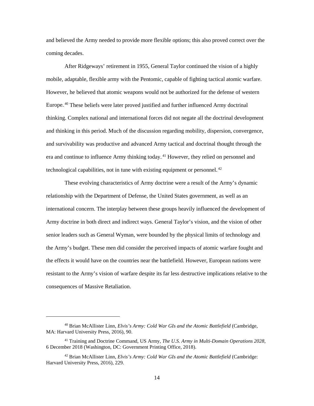and believed the Army needed to provide more flexible options; this also proved correct over the coming decades.

After Ridgeways' retirement in 1955, General Taylor continued the vision of a highly mobile, adaptable, flexible army with the Pentomic, capable of fighting tactical atomic warfare. However, he believed that atomic weapons would not be authorized for the defense of western Europe.<sup>40</sup> These beliefs were later proved justified and further influenced Army doctrinal thinking. Complex national and international forces did not negate all the doctrinal development and thinking in this period. Much of the discussion regarding mobility, dispersion, convergence, and survivability was productive and advanced Army tactical and doctrinal thought through the era and continue to influence Army thinking today.<sup>41</sup> However, they relied on personnel and technological capabilities, not in tune with existing equipment or personnel.<sup>42</sup>

These evolving characteristics of Army doctrine were a result of the Army's dynamic relationship with the Department of Defense, the United States government, as well as an international concern. The interplay between these groups heavily influenced the development of Army doctrine in both direct and indirect ways. General Taylor's vision, and the vision of other senior leaders such as General Wyman, were bounded by the physical limits of technology and the Army's budget. These men did consider the perceived impacts of atomic warfare fought and the effects it would have on the countries near the battlefield. However, European nations were resistant to the Army's vision of warfare despite its far less destructive implications relative to the consequences of Massive Retaliation.

<sup>40</sup> Brian McAllister Linn, *Elvis's Army: Cold War GIs and the Atomic Battlefield* (Cambridge, MA: Harvard University Press, 2016), 90.

<sup>41</sup> Training and Doctrine Command, US Army, *The U.S. Army in Multi-Domain Operations 2028,*  6 December 2018 (Washington, DC: Government Printing Office, 2018).

<sup>42</sup> Brian McAllister Linn, *Elvis's Army: Cold War GIs and the Atomic Battlefield* (Cambridge: Harvard University Press, 2016), 229.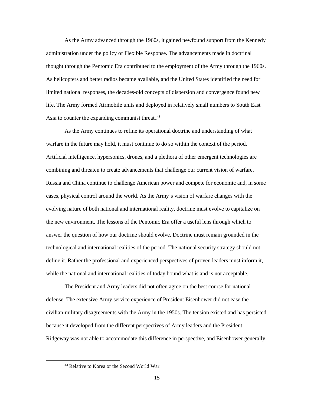As the Army advanced through the 1960s, it gained newfound support from the Kennedy administration under the policy of Flexible Response. The advancements made in doctrinal thought through the Pentomic Era contributed to the employment of the Army through the 1960s. As helicopters and better radios became available, and the United States identified the need for limited national responses, the decades-old concepts of dispersion and convergence found new life. The Army formed Airmobile units and deployed in relatively small numbers to South East Asia to counter the expanding communist threat.<sup>43</sup>

As the Army continues to refine its operational doctrine and understanding of what warfare in the future may hold, it must continue to do so within the context of the period. Artificial intelligence, hypersonics, drones, and a plethora of other emergent technologies are combining and threaten to create advancements that challenge our current vision of warfare. Russia and China continue to challenge American power and compete for economic and, in some cases, physical control around the world. As the Army's vision of warfare changes with the evolving nature of both national and international reality, doctrine must evolve to capitalize on the new environment. The lessons of the Pentomic Era offer a useful lens through which to answer the question of how our doctrine should evolve. Doctrine must remain grounded in the technological and international realities of the period. The national security strategy should not define it. Rather the professional and experienced perspectives of proven leaders must inform it, while the national and international realities of today bound what is and is not acceptable.

The President and Army leaders did not often agree on the best course for national defense. The extensive Army service experience of President Eisenhower did not ease the civilian-military disagreements with the Army in the 1950s. The tension existed and has persisted because it developed from the different perspectives of Army leaders and the President. Ridgeway was not able to accommodate this difference in perspective, and Eisenhower generally

<sup>43</sup> Relative to Korea or the Second World War.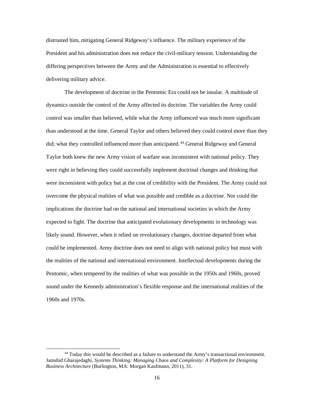distrusted him, mitigating General Ridgeway's influence. The military experience of the President and his administration does not reduce the civil-military tension. Understanding the differing perspectives between the Army and the Administration is essential to effectively delivering military advice.

The development of doctrine in the Pentomic Era could not be insular. A multitude of dynamics outside the control of the Army affected its doctrine. The variables the Army could control was smaller than believed, while what the Army influenced was much more significant than understood at the time. General Taylor and others believed they could control more than they did; what they controlled influenced more than anticipated.<sup>44</sup> General Ridgeway and General Taylor both knew the new Army vision of warfare was inconsistent with national policy. They were right in believing they could successfully implement doctrinal changes and thinking that were inconsistent with policy but at the cost of credibility with the President. The Army could not overcome the physical realities of what was possible and credible as a doctrine. Nor could the implications the doctrine had on the national and international societies in which the Army expected to fight. The doctrine that anticipated evolutionary developments in technology was likely sound. However, when it relied on revolutionary changes, doctrine departed from what could be implemented. Army doctrine does not need to align with national policy but must with the realities of the national and international environment. Intellectual developments during the Pentomic, when tempered by the realities of what was possible in the 1950s and 1960s, proved sound under the Kennedy administration's flexible response and the international realities of the 1960s and 1970s.

<sup>44</sup> Today this would be described as a failure to understand the Army's transactional environment. Jamshid Gharajedaghi, *Systems Thinking: Managing Chaos and Complexity: A Platform for Designing Business Architecture* (Burlington, MA: Morgan Kaufmann, 2011), 31.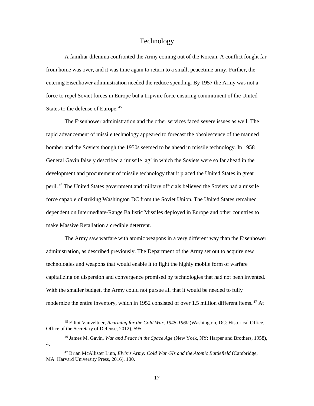#### Technology

A familiar dilemma confronted the Army coming out of the Korean. A conflict fought far from home was over, and it was time again to return to a small, peacetime army. Further, the entering Eisenhower administration needed the reduce spending. By 1957 the Army was not a force to repel Soviet forces in Europe but a tripwire force ensuring commitment of the United States to the defense of Europe.<sup>45</sup>

The Eisenhower administration and the other services faced severe issues as well. The rapid advancement of missile technology appeared to forecast the obsolescence of the manned bomber and the Soviets though the 1950s seemed to be ahead in missile technology. In 1958 General Gavin falsely described a 'missile lag' in which the Soviets were so far ahead in the development and procurement of missile technology that it placed the United States in great peril.<sup>46</sup> The United States government and military officials believed the Soviets had a missile force capable of striking Washington DC from the Soviet Union. The United States remained dependent on Intermediate-Range Ballistic Missiles deployed in Europe and other countries to make Massive Retaliation a credible deterrent.

The Army saw warfare with atomic weapons in a very different way than the Eisenhower administration, as described previously. The Department of the Army set out to acquire new technologies and weapons that would enable it to fight the highly mobile form of warfare capitalizing on dispersion and convergence promised by technologies that had not been invented. With the smaller budget, the Army could not pursue all that it would be needed to fully modernize the entire inventory, which in 1952 consisted of over 1.5 million different items.<sup>47</sup> At

<sup>45</sup> Elliot Vanveltner, *Rearming for the Cold War, 1945-1960* (Washington, DC: Historical Office, Office of the Secretary of Defense, 2012), 595.

<sup>46</sup> James M. Gavin, *War and Peace in the Space Age* (New York, NY: Harper and Brothers, 1958), 4.

<sup>47</sup> Brian McAllister Linn, *Elvis's Army: Cold War GIs and the Atomic Battlefield* (Cambridge, MA: Harvard University Press, 2016), 100.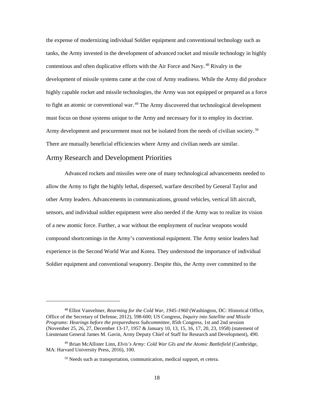the expense of modernizing individual Soldier equipment and conventional technology such as tanks, the Army invested in the development of advanced rocket and missile technology in highly contentious and often duplicative efforts with the Air Force and Navy.<sup>48</sup> Rivalry in the development of missile systems came at the cost of Army readiness. While the Army did produce highly capable rocket and missile technologies, the Army was not equipped or prepared as a force to fight an atomic or conventional war.<sup>49</sup> The Army discovered that technological development must focus on those systems unique to the Army and necessary for it to employ its doctrine. Army development and procurement must not be isolated from the needs of civilian society.<sup>50</sup> There are mutually beneficial efficiencies where Army and civilian needs are similar.

#### Army Research and Development Priorities

 $\overline{\phantom{a}}$ 

Advanced rockets and missiles were one of many technological advancements needed to allow the Army to fight the highly lethal, dispersed, warfare described by General Taylor and other Army leaders. Advancements in communications, ground vehicles, vertical lift aircraft, sensors, and individual soldier equipment were also needed if the Army was to realize its vision of a new atomic force. Further, a war without the employment of nuclear weapons would compound shortcomings in the Army's conventional equipment. The Army senior leaders had experience in the Second World War and Korea. They understood the importance of individual Soldier equipment and conventional weaponry. Despite this, the Army over committed to the

<sup>48</sup> Elliot Vanveltner, *Rearming for the Cold War, 1945-1960* (Washington, DC: Historical Office, Office of the Secretary of Defense, 2012), 598-600; US Congress, *Inquiry into Satellite and Missile Programs: Hearings before the preparedness Subcommittee*, 85th Congress, 1st and 2nd session (November 25, 26, 27, December 13-17, 1957 & January 10, 13, 15, 16, 17, 20, 23, 1958) (statement of Lieutenant General James M. Gavin, Army Deputy Chief of Staff for Research and Development), 490.

<sup>49</sup> Brian McAllister Linn, *Elvis's Army: Cold War GIs and the Atomic Battlefield* (Cambridge, MA: Harvard University Press, 2016), 100.

<sup>50</sup> Needs such as transportation, communication, medical support, et cetera.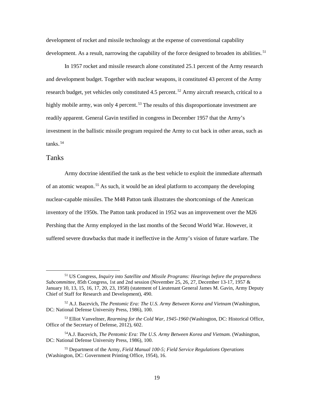development of rocket and missile technology at the expense of conventional capability development. As a result, narrowing the capability of the force designed to broaden its abilities.<sup>51</sup>

In 1957 rocket and missile research alone constituted 25.1 percent of the Army research and development budget. Together with nuclear weapons, it constituted 43 percent of the Army research budget, yet vehicles only constituted  $4.5$  percent.<sup>52</sup> Army aircraft research, critical to a highly mobile army, was only 4 percent.<sup>53</sup> The results of this disproportionate investment are readily apparent. General Gavin testified in congress in December 1957 that the Army's investment in the ballistic missile program required the Army to cut back in other areas, such as tanks.<sup>54</sup>

#### Tanks

 $\overline{a}$ 

Army doctrine identified the tank as the best vehicle to exploit the immediate aftermath of an atomic weapon.<sup>55</sup> As such, it would be an ideal platform to accompany the developing nuclear-capable missiles. The M48 Patton tank illustrates the shortcomings of the American inventory of the 1950s. The Patton tank produced in 1952 was an improvement over the M26 Pershing that the Army employed in the last months of the Second World War. However, it suffered severe drawbacks that made it ineffective in the Army's vision of future warfare. The

<sup>51</sup> US Congress, *Inquiry into Satellite and Missile Programs: Hearings before the preparedness Subcommittee*, 85th Congress, 1st and 2nd session (November 25, 26, 27, December 13-17, 1957 & January 10, 13, 15, 16, 17, 20, 23, 1958) (statement of Lieutenant General James M. Gavin, Army Deputy Chief of Staff for Research and Development), 490.

<sup>52</sup> A.J. Bacevich, *The Pentomic Era: The U.S. Army Between Korea and Vietnam* (Washington, DC: National Defense University Press, 1986), 100.

<sup>53</sup> Elliot Vanveltner, *Rearming for the Cold War, 1945-1960* (Washington, DC: Historical Office, Office of the Secretary of Defense, 2012), 602.

<sup>54</sup>A.J. Bacevich, *The Pentomic Era: The U.S. Army Between Korea and Vietnam.* (Washington, DC: National Defense University Press, 1986), 100.

<sup>55</sup> Department of the Army, *Field Manual 100-5; Field Service Regulations Operations* (Washington, DC: Government Printing Office, 1954), 16.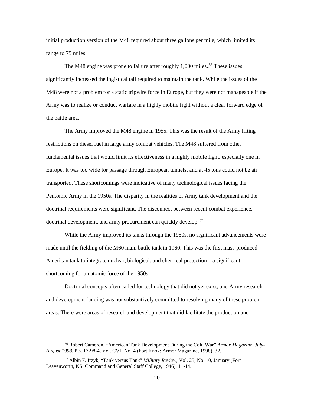initial production version of the M48 required about three gallons per mile, which limited its range to 75 miles.

The M48 engine was prone to failure after roughly 1,000 miles.<sup>56</sup> These issues significantly increased the logistical tail required to maintain the tank. While the issues of the M48 were not a problem for a static tripwire force in Europe, but they were not manageable if the Army was to realize or conduct warfare in a highly mobile fight without a clear forward edge of the battle area.

 The Army improved the M48 engine in 1955. This was the result of the Army lifting restrictions on diesel fuel in large army combat vehicles. The M48 suffered from other fundamental issues that would limit its effectiveness in a highly mobile fight, especially one in Europe. It was too wide for passage through European tunnels, and at 45 tons could not be air transported. These shortcomings were indicative of many technological issues facing the Pentomic Army in the 1950s. The disparity in the realities of Army tank development and the doctrinal requirements were significant. The disconnect between recent combat experience, doctrinal development, and army procurement can quickly develop.<sup>57</sup>

While the Army improved its tanks through the 1950s, no significant advancements were made until the fielding of the M60 main battle tank in 1960. This was the first mass-produced American tank to integrate nuclear, biological, and chemical protection – a significant shortcoming for an atomic force of the 1950s.

Doctrinal concepts often called for technology that did not yet exist, and Army research and development funding was not substantively committed to resolving many of these problem areas. There were areas of research and development that did facilitate the production and

<sup>56</sup> Robert Cameron, "American Tank Development During the Cold War" *Armor Magazine, July-August 1998*, PB. 17-98-4, Vol. CVII No. 4 (Fort Knox: Armor Magazine, 1998), 32.

<sup>57</sup> Albin F. Irzyk, "Tank versus Tank" *Military Review,* Vol. 25, No. 10, January (Fort Leavenworth, KS: Command and General Staff College, 1946), 11-14.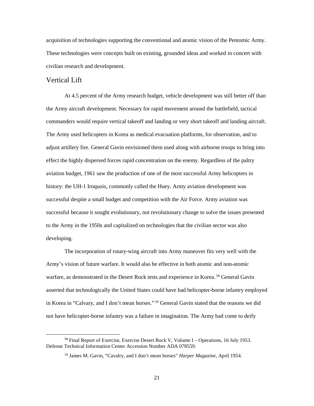acquisition of technologies supporting the conventional and atomic vision of the Pentomic Army. These technologies were concepts built on existing, grounded ideas and worked in concert with civilian research and development.

#### Vertical Lift

 At 4.5 percent of the Army research budget, vehicle development was still better off than the Army aircraft development. Necessary for rapid movement around the battlefield, tactical commanders would require vertical takeoff and landing or very short takeoff and landing aircraft. The Army used helicopters in Korea as medical evacuation platforms, for observation, and to adjust artillery fire. General Gavin envisioned them used along with airborne troops to bring into effect the highly dispersed forces rapid concentration on the enemy. Regardless of the paltry aviation budget, 1961 saw the production of one of the most successful Army helicopters in history: the UH-1 Iroquois, commonly called the Huey. Army aviation development was successful despite a small budget and competition with the Air Force. Army aviation was successful because it sought evolutionary, not revolutionary change to solve the issues presented to the Army in the 1950s and capitalized on technologies that the civilian sector was also developing.

 The incorporation of rotary-wing aircraft into Army maneuver fits very well with the Army's vision of future warfare. It would also be effective in both atomic and non-atomic warfare, as demonstrated in the Desert Rock tests and experience in Korea.<sup>58</sup> General Gavin asserted that technologically the United States could have had helicopter-borne infantry employed in Korea in "Calvary, and I don't mean horses."<sup>59</sup> General Gavin stated that the reasons we did not have helicopter-borne infantry was a failure in imagination. The Army had come to deify

 <sup>58</sup> Final Report of Exercise, Exercise Desert Rock V, Volume I – Operations, 16 July 1953. Defense Technical Information Center Accession Number ADA 078559.

<sup>59</sup> James M. Gavin, "Cavalry, and I don't mean horses" *Harper Magazine,* April 1954.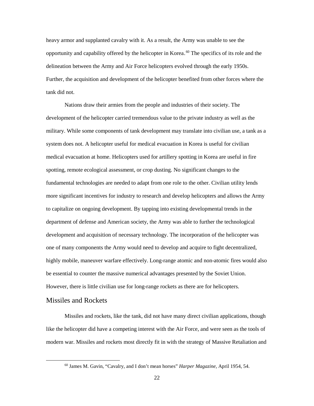heavy armor and supplanted cavalry with it. As a result, the Army was unable to see the opportunity and capability offered by the helicopter in Korea.<sup>60</sup> The specifics of its role and the delineation between the Army and Air Force helicopters evolved through the early 1950s. Further, the acquisition and development of the helicopter benefited from other forces where the tank did not.

Nations draw their armies from the people and industries of their society. The development of the helicopter carried tremendous value to the private industry as well as the military. While some components of tank development may translate into civilian use, a tank as a system does not. A helicopter useful for medical evacuation in Korea is useful for civilian medical evacuation at home. Helicopters used for artillery spotting in Korea are useful in fire spotting, remote ecological assessment, or crop dusting. No significant changes to the fundamental technologies are needed to adapt from one role to the other. Civilian utility lends more significant incentives for industry to research and develop helicopters and allows the Army to capitalize on ongoing development. By tapping into existing developmental trends in the department of defense and American society, the Army was able to further the technological development and acquisition of necessary technology. The incorporation of the helicopter was one of many components the Army would need to develop and acquire to fight decentralized, highly mobile, maneuver warfare effectively. Long-range atomic and non-atomic fires would also be essential to counter the massive numerical advantages presented by the Soviet Union. However, there is little civilian use for long-range rockets as there are for helicopters.

#### Missiles and Rockets

l

Missiles and rockets, like the tank, did not have many direct civilian applications, though like the helicopter did have a competing interest with the Air Force, and were seen as the tools of modern war. Missiles and rockets most directly fit in with the strategy of Massive Retaliation and

<sup>60</sup> James M. Gavin, "Cavalry, and I don't mean horses" *Harper Magazine,* April 1954, 54.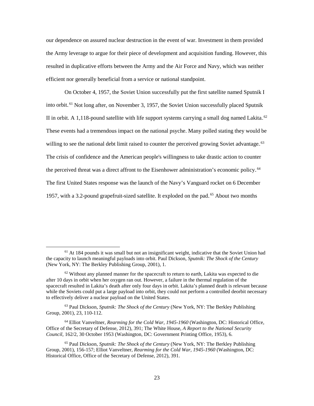our dependence on assured nuclear destruction in the event of war. Investment in them provided the Army leverage to argue for their piece of development and acquisition funding. However, this resulted in duplicative efforts between the Army and the Air Force and Navy, which was neither efficient nor generally beneficial from a service or national standpoint.

On October 4, 1957, the Soviet Union successfully put the first satellite named Sputnik I into orbit.<sup>61</sup> Not long after, on November 3, 1957, the Soviet Union successfully placed Sputnik II in orbit. A 1,118-pound satellite with life support systems carrying a small dog named Lakita.<sup>62</sup> These events had a tremendous impact on the national psyche. Many polled stating they would be willing to see the national debt limit raised to counter the perceived growing Soviet advantage.<sup>63</sup> The crisis of confidence and the American people's willingness to take drastic action to counter the perceived threat was a direct affront to the Eisenhower administration's economic policy.<sup>64</sup> The first United States response was the launch of the Navy's Vanguard rocket on 6 December 1957, with a 3.2-pound grapefruit-sized satellite. It exploded on the pad.<sup>65</sup> About two months

 $61$  At 184 pounds it was small but not an insignificant weight, indicative that the Soviet Union had the capacity to launch meaningful payloads into orbit. Paul Dickson, *Sputnik: The Shock of the Century* (New York, NY: The Berkley Publishing Group, 2001), 1.

 $62$  Without any planned manner for the spacecraft to return to earth, Lakita was expected to die after 10 days in orbit when her oxygen ran out. However, a failure in the thermal regulation of the spacecraft resulted in Lakita's death after only four days in orbit. Lakita's planned death is relevant because while the Soviets could put a large payload into orbit, they could not perform a controlled deorbit necessary to effectively deliver a nuclear payload on the United States.

<sup>63</sup> Paul Dickson, *Sputnik: The Shock of the Century* (New York, NY: The Berkley Publishing Group, 2001), 23, 110-112.

<sup>64</sup> Elliot Vanveltner, *Rearming for the Cold War, 1945-1960* (Washington, DC: Historical Office, Office of the Secretary of Defense, 2012), 391; The White House, *A Report to the National Security Council,* 162/2, 30 October 1953 (Washington, DC: Government Printing Office, 1953), 6.

<sup>65</sup> Paul Dickson, *Sputnik: The Shock of the Century* (New York, NY: The Berkley Publishing Group, 2001), 156-157; Elliot Vanveltner, *Rearming for the Cold War, 1945-1960* (Washington, DC: Historical Office, Office of the Secretary of Defense, 2012), 391.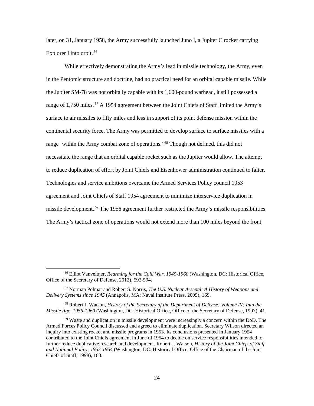later, on 31, January 1958, the Army successfully launched Juno I, a Jupiter C rocket carrying Explorer I into orbit.<sup>66</sup>

While effectively demonstrating the Army's lead in missile technology, the Army, even in the Pentomic structure and doctrine, had no practical need for an orbital capable missile. While the Jupiter SM-78 was not orbitally capable with its 1,600-pound warhead, it still possessed a range of 1,750 miles.<sup>67</sup> A 1954 agreement between the Joint Chiefs of Staff limited the Army's surface to air missiles to fifty miles and less in support of its point defense mission within the continental security force. The Army was permitted to develop surface to surface missiles with a range 'within the Army combat zone of operations.'.<sup>68</sup> Though not defined, this did not necessitate the range that an orbital capable rocket such as the Jupiter would allow. The attempt to reduce duplication of effort by Joint Chiefs and Eisenhower administration continued to falter. Technologies and service ambitions overcame the Armed Services Policy council 1953 agreement and Joint Chiefs of Staff 1954 agreement to minimize interservice duplication in missile development.<sup>69</sup> The 1956 agreement further restricted the Army's missile responsibilities. The Army's tactical zone of operations would not extend more than 100 miles beyond the front

<sup>66</sup> Elliot Vanveltner, *Rearming for the Cold War, 1945-1960* (Washington, DC: Historical Office, Office of the Secretary of Defense, 2012), 592-594.

<sup>67</sup> Norman Polmar and Robert S. Norris, *The U.S. Nuclear Arsenal: A History of Weapons and Delivery Systems since 1945* (Annapolis, MA: Naval Institute Press, 2009), 169.

<sup>68</sup> Robert J. Watson, *History of the Secretary of the Department of Defense: Volume IV: Into the Missile Age, 1956-1960* (Washington, DC: Historical Office, Office of the Secretary of Defense, 1997), 41.

 $69$  Waste and duplication in missile development were increasingly a concern within the DoD. The Armed Forces Policy Council discussed and agreed to eliminate duplication. Secretary Wilson directed an inquiry into existing rocket and missile programs in 1953. Its conclusions presented in January 1954 contributed to the Joint Chiefs agreement in June of 1954 to decide on service responsibilities intended to further reduce duplicative research and development. Robert J. Watson, *History of the Joint Chiefs of Staff and National Policy; 1953-1954* (Washington, DC: Historical Office, Office of the Chairman of the Joint Chiefs of Staff, 1998), 183.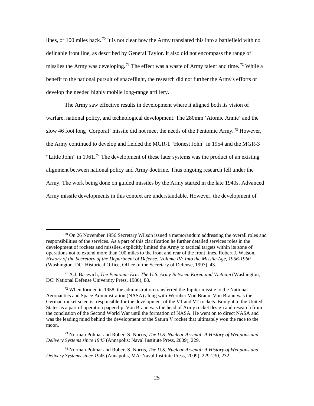lines, or 100 miles back.<sup>70</sup> It is not clear how the Army translated this into a battlefield with no definable front line, as described by General Taylor. It also did not encompass the range of missiles the Army was developing.<sup>71</sup> The effect was a waste of Army talent and time.<sup>72</sup> While a benefit to the national pursuit of spaceflight, the research did not further the Army's efforts or develop the needed highly mobile long-range artillery.

 The Army saw effective results in development where it aligned both its vision of warfare, national policy, and technological development. The 280mm 'Atomic Annie' and the slow 46 foot long 'Corporal' missile did not meet the needs of the Pentomic Army.<sup>73</sup> However, the Army continued to develop and fielded the MGR-1 "Honest John" in 1954 and the MGR-3 "Little John" in 1961.<sup>74</sup> The development of these later systems was the product of an existing alignment between national policy and Army doctrine. Thus ongoing research fell under the Army. The work being done on guided missiles by the Army started in the late 1940s. Advanced Army missile developments in this context are understandable. However, the development of

 $\frac{70}{10}$  On 26 November 1956 Secretary Wilson issued a memorandum addressing the overall roles and responsibilities of the services. As a part of this clarification he further detailed services roles in the development of rockets and missiles, explicitly limited the Army to tactical targets within its zone of operations not to extend more than 100 miles to the front and rear of the front lines. Robert J. Watson, *History of the Secretary of the Department of Defense: Volume IV: Into the Missile Age, 1956-1960* (Washington, DC: Historical Office, Office of the Secretary of Defense, 1997), 43.

<sup>71</sup> A.J. Bacevich, *The Pentomic Era: The U.S. Army Between Korea and Vietnam* (Washington, DC: National Defense University Press, 1986), 88.

 $72$  When formed in 1958, the administration transferred the Jupiter missile to the National Aeronautics and Space Administration (NASA) along with Wernher Von Braun. Von Braun was the German rocket scientist responsible for the development of the V1 and V2 rockets. Brought to the United States as a part of operation paperclip, Von Braun was the head of Army rocket design and research from the conclusion of the Second World War until the formation of NASA. He went on to direct NASA and was the leading mind behind the development of the Saturn V rocket that ultimately won the race to the moon.

<sup>73</sup> Norman Polmar and Robert S. Norris, *The U.S. Nuclear Arsenal: A History of Weapons and Delivery Systems since 1945* (Annapolis: Naval Institute Press, 2009), 229.

<sup>74</sup> Norman Polmar and Robert S. Norris, *The U.S. Nuclear Arsenal: A History of Weapons and Delivery Systems since 1945* (Annapolis, MA: Naval Institute Press, 2009), 229-230, 232.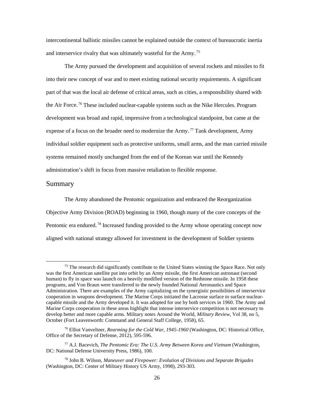intercontinental ballistic missiles cannot be explained outside the context of bureaucratic inertia and interservice rivalry that was ultimately wasteful for the Army.<sup>75</sup>

 The Army pursued the development and acquisition of several rockets and missiles to fit into their new concept of war and to meet existing national security requirements. A significant part of that was the local air defense of critical areas, such as cities, a responsibility shared with the Air Force.<sup>76</sup> These included nuclear-capable systems such as the Nike Hercules. Program development was broad and rapid, impressive from a technological standpoint, but came at the expense of a focus on the broader need to modernize the Army.<sup>77</sup> Tank development, Army individual soldier equipment such as protective uniforms, small arms, and the man carried missile systems remained mostly unchanged from the end of the Korean war until the Kennedy administration's shift in focus from massive retaliation to flexible response.

#### Summary

 $\overline{a}$ 

The Army abandoned the Pentomic organization and embraced the Reorganization Objective Army Division (ROAD) beginning in 1960, though many of the core concepts of the Pentomic era endured.<sup>78</sup> Increased funding provided to the Army whose operating concept now aligned with national strategy allowed for investment in the development of Soldier systems

<sup>&</sup>lt;sup>75</sup> The research did significantly contribute to the United States winning the Space Race. Not only was the first American satellite put into orbit by an Army missile, the first American astronaut (second human) to fly in space was launch on a heavily modified version of the Redstone missile. In 1958 these programs, and Von Braun were transferred to the newly founded National Aeronautics and Space Administration. There are examples of the Army capitalizing on the synergistic possibilities of interservice cooperation in weapons development. The Marine Corps initiated the Lacrosse surface to surface nuclearcapable missile and the Army developed it. It was adopted for use by both services in 1960. The Army and Marine Corps cooperation in these areas highlight that intense interservice competition is not necessary to develop better and more capable arms. Military notes Around the World, *Military Review,* Vol 38, no 5, October (Fort Leavenworth: Command and General Staff College, 1958), 65.

<sup>76</sup> Elliot Vanveltner, *Rearming for the Cold War, 1945-1960* (Washington, DC: Historical Office, Office of the Secretary of Defense, 2012), 595-596.

<sup>77</sup> A.J. Bacevich, *The Pentomic Era: The U.S. Army Between Korea and Vietnam* (Washington, DC: National Defense University Press, 1986), 100.

<sup>78</sup> John B. Wilson, *Maneuver and Firepower: Evolution of Divisions and Separate Brigades*  (Washington, DC: Center of Military History US Army, 1998), 293-303.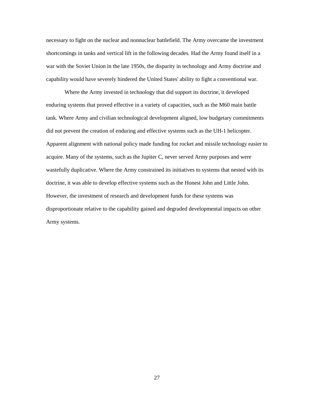necessary to fight on the nuclear and nonnuclear battlefield. The Army overcame the investment shortcomings in tanks and vertical lift in the following decades. Had the Army found itself in a war with the Soviet Union in the late 1950s, the disparity in technology and Army doctrine and capability would have severely hindered the United States' ability to fight a conventional war.

Where the Army invested in technology that did support its doctrine, it developed enduring systems that proved effective in a variety of capacities, such as the M60 main battle tank. Where Army and civilian technological development aligned, low budgetary commitments did not prevent the creation of enduring and effective systems such as the UH-1 helicopter. Apparent alignment with national policy made funding for rocket and missile technology easier to acquire. Many of the systems, such as the Jupiter C, never served Army purposes and were wastefully duplicative. Where the Army constrained its initiatives to systems that nested with its doctrine, it was able to develop effective systems such as the Honest John and Little John. However, the investment of research and development funds for these systems was disproportionate relative to the capability gained and degraded developmental impacts on other Army systems.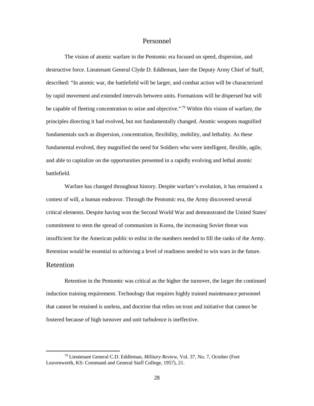#### Personnel

The vision of atomic warfare in the Pentomic era focused on speed, dispersion, and destructive force. Lieutenant General Clyde D. Eddleman, later the Deputy Army Chief of Staff, described: "In atomic war, the battlefield will be larger, and combat action will be characterized by rapid movement and extended intervals between units. Formations will be dispersed but will be capable of fleeting concentration to seize and objective."<sup>79</sup> Within this vision of warfare, the principles directing it had evolved, but not fundamentally changed. Atomic weapons magnified fundamentals such as dispersion, concentration, flexibility, mobility, and lethality. As these fundamental evolved, they magnified the need for Soldiers who were intelligent, flexible, agile, and able to capitalize on the opportunities presented in a rapidly evolving and lethal atomic battlefield.

Warfare has changed throughout history. Despite warfare's evolution, it has remained a contest of will, a human endeavor. Through the Pentomic era, the Army discovered several critical elements. Despite having won the Second World War and demonstrated the United States' commitment to stem the spread of communism in Korea, the increasing Soviet threat was insufficient for the American public to enlist in the numbers needed to fill the ranks of the Army. Retention would be essential to achieving a level of readiness needed to win wars in the future.

#### Retention

l

Retention in the Pentomic was critical as the higher the turnover, the larger the continued induction training requirement. Technology that requires highly trained maintenance personnel that cannot be retained is useless, and doctrine that relies on trust and initiative that cannot be fostered because of high turnover and unit turbulence is ineffective.

<sup>79</sup> Lieutenant General C.D. Eddleman, *Military Review,* Vol. 37, No. 7, October (Fort Leavenworth, KS: Command and General Staff College, 1957), 21.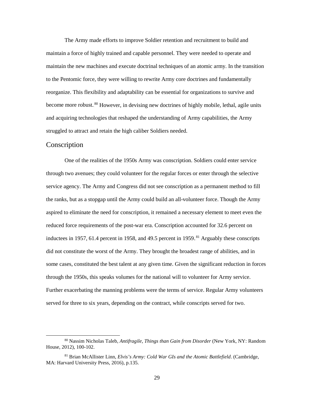The Army made efforts to improve Soldier retention and recruitment to build and maintain a force of highly trained and capable personnel. They were needed to operate and maintain the new machines and execute doctrinal techniques of an atomic army. In the transition to the Pentomic force, they were willing to rewrite Army core doctrines and fundamentally reorganize. This flexibility and adaptability can be essential for organizations to survive and become more robust.<sup>80</sup> However, in devising new doctrines of highly mobile, lethal, agile units and acquiring technologies that reshaped the understanding of Army capabilities, the Army struggled to attract and retain the high caliber Soldiers needed.

#### Conscription

l

One of the realities of the 1950s Army was conscription. Soldiers could enter service through two avenues; they could volunteer for the regular forces or enter through the selective service agency. The Army and Congress did not see conscription as a permanent method to fill the ranks, but as a stopgap until the Army could build an all-volunteer force. Though the Army aspired to eliminate the need for conscription, it remained a necessary element to meet even the reduced force requirements of the post-war era. Conscription accounted for 32.6 percent on inductees in 1957, 61.4 percent in 1958, and 49.5 percent in 1959.<sup>81</sup> Arguably these conscripts did not constitute the worst of the Army. They brought the broadest range of abilities, and in some cases, constituted the best talent at any given time. Given the significant reduction in forces through the 1950s, this speaks volumes for the national will to volunteer for Army service. Further exacerbating the manning problems were the terms of service. Regular Army volunteers served for three to six years, depending on the contract, while conscripts served for two.

<sup>80</sup> Nassim Nicholas Taleb, *Antifragile, Things than Gain from Disorder* (New York, NY: Random House, 2012), 100-102.

<sup>81</sup> Brian McAllister Linn, *Elvis's Army: Cold War GIs and the Atomic Battlefield*. (Cambridge, MA: Harvard University Press, 2016), p.135.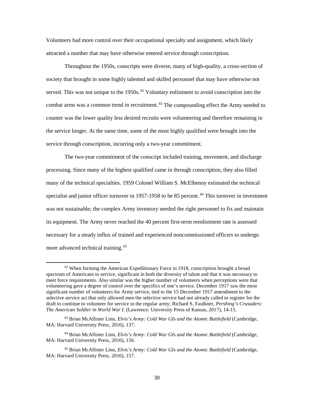Volunteers had more control over their occupational specialty and assignment, which likely attracted a number that may have otherwise entered service through conscription.

Throughout the 1950s, conscripts were diverse, many of high-quality, a cross-section of society that brought in some highly talented and skilled personnel that may have otherwise not served. This was not unique to the 1950s.<sup>82</sup> Voluntary enlistment to avoid conscription into the combat arms was a common trend in recruitment.<sup>83</sup> The compounding effect the Army needed to counter was the lower quality less desired recruits were volunteering and therefore remaining in the service longer. At the same time, some of the most highly qualified were brought into the service through conscription, incurring only a two-year commitment.

The two-year commitment of the conscript included training, movement, and discharge processing. Since many of the highest qualified came in through conscription, they also filled many of the technical specialties. 1959 Colonel William S. McElhenny estimated the technical specialist and junior officer turnover in 1957-1958 to be 85 percent.<sup>84</sup> This turnover in investment was not sustainable; the complex Army inventory needed the right personnel to fix and maintain its equipment. The Army never reached the 40 percent first-term reenlistment rate is assessed necessary for a steady influx of trained and experienced noncommissioned officers to undergo more advanced technical training.<sup>85</sup>

 $82$  When forming the American Expeditionary Force in 1918, conscription brought a broad spectrum of Americans to service, significant in both the diversity of talent and that it was necessary to meet force requirements. Also similar was the higher number of volunteers when perceptions were that volunteering gave a degree of control over the specifics of one's service. December 1917 saw the most significant number of volunteers for Army service, tied to the 15 December 1917 amendment to the selective service act that only allowed men the selective service had not already called to register for the draft to continue to volunteer for service in the regular army; Richard S. Faulkner, *Pershing's Crusaders: The American Soldier in World War I.* (Lawrence: University Press of Kansas, 2017), 14-15.

<sup>83</sup> Brian McAllister Linn, *Elvis's Army: Cold War GIs and the Atomic Battlefield* (Cambridge, MA: Harvard University Press, 2016), 137.

<sup>84</sup> Brian McAllister Linn, *Elvis's Army: Cold War GIs and the Atomic Battlefield* (Cambridge, MA: Harvard University Press, 2016), 156.

<sup>85</sup> Brian McAllister Linn, *Elvis's Army: Cold War GIs and the Atomic Battlefield* (Cambridge, MA: Harvard University Press, 2016), 157.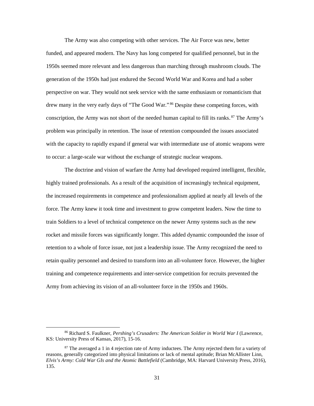The Army was also competing with other services. The Air Force was new, better funded, and appeared modern. The Navy has long competed for qualified personnel, but in the 1950s seemed more relevant and less dangerous than marching through mushroom clouds. The generation of the 1950s had just endured the Second World War and Korea and had a sober perspective on war. They would not seek service with the same enthusiasm or romanticism that drew many in the very early days of "The Good War.".<sup>86</sup> Despite these competing forces, with conscription, the Army was not short of the needed human capital to fill its ranks. <sup>87</sup> The Army's problem was principally in retention. The issue of retention compounded the issues associated with the capacity to rapidly expand if general war with intermediate use of atomic weapons were to occur: a large-scale war without the exchange of strategic nuclear weapons.

The doctrine and vision of warfare the Army had developed required intelligent, flexible, highly trained professionals. As a result of the acquisition of increasingly technical equipment, the increased requirements in competence and professionalism applied at nearly all levels of the force. The Army knew it took time and investment to grow competent leaders. Now the time to train Soldiers to a level of technical competence on the newer Army systems such as the new rocket and missile forces was significantly longer. This added dynamic compounded the issue of retention to a whole of force issue, not just a leadership issue. The Army recognized the need to retain quality personnel and desired to transform into an all-volunteer force. However, the higher training and competence requirements and inter-service competition for recruits prevented the Army from achieving its vision of an all-volunteer force in the 1950s and 1960s.

<sup>&</sup>lt;sup>86</sup> Richard S. Faulkner, *Pershing's Crusaders: The American Soldier in World War I* (Lawrence, KS: University Press of Kansas, 2017), 15-16.

<sup>&</sup>lt;sup>87</sup> The averaged a 1 in 4 rejection rate of Army inductees. The Army rejected them for a variety of reasons, generally categorized into physical limitations or lack of mental aptitude; Brian McAllister Linn, *Elvis's Army: Cold War GIs and the Atomic Battlefield* (Cambridge, MA: Harvard University Press, 2016), 135.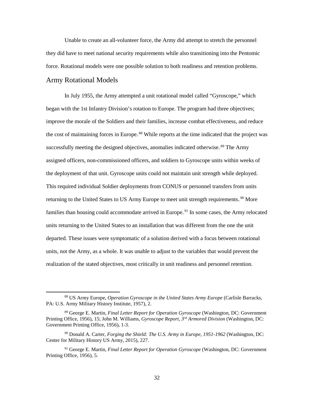Unable to create an all-volunteer force, the Army did attempt to stretch the personnel they did have to meet national security requirements while also transitioning into the Pentomic force. Rotational models were one possible solution to both readiness and retention problems.

#### Army Rotational Models

l

In July 1955, the Army attempted a unit rotational model called "Gyroscope," which began with the 1st Infantry Division's rotation to Europe. The program had three objectives; improve the morale of the Soldiers and their families, increase combat effectiveness, and reduce the cost of maintaining forces in Europe.<sup>88</sup> While reports at the time indicated that the project was successfully meeting the designed objectives, anomalies indicated otherwise.<sup>89</sup> The Army assigned officers, non-commissioned officers, and soldiers to Gyroscope units within weeks of the deployment of that unit. Gyroscope units could not maintain unit strength while deployed. This required individual Soldier deployments from CONUS or personnel transfers from units returning to the United States to US Army Europe to meet unit strength requirements.<sup>90</sup> More families than housing could accommodate arrived in Europe.<sup>91</sup> In some cases, the Army relocated units returning to the United States to an installation that was different from the one the unit departed. These issues were symptomatic of a solution derived with a focus between rotational units, not the Army, as a whole. It was unable to adjust to the variables that would prevent the realization of the stated objectives, most critically in unit readiness and personnel retention.

<sup>88</sup> US Army Europe, *Operation Gyroscope in the United States Army Europe* (Carlisle Barracks, PA: U.S. Army Military History Institute, 1957), 2.

<sup>89</sup> George E. Martin, *Final Letter Report for Operation Gyroscope* (Washington, DC: Government Printing Office, 1956), 15; John M. Williams, *Gyroscope Report, 3rd Armored Division* (Washington, DC: Government Printing Office, 1956), 1-3.

<sup>90</sup> Donald A. Carter, *Forging the Shield: The U.S. Army in Europe, 1951-1962* (Washington, DC: Center for Military History US Army, 2015), 227.

<sup>&</sup>lt;sup>91</sup> George E. Martin, *Final Letter Report for Operation Gyroscope* (Washington, DC: Government Printing Office, 1956), 5.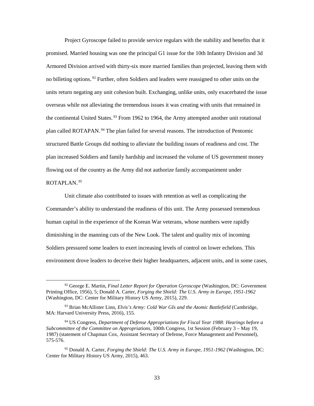Project Gyroscope failed to provide service regulars with the stability and benefits that it promised. Married housing was one the principal G1 issue for the 10th Infantry Division and 3d Armored Division arrived with thirty-six more married families than projected, leaving them with no billeting options.<sup>92</sup> Further, often Soldiers and leaders were reassigned to other units on the units return negating any unit cohesion built. Exchanging, unlike units, only exacerbated the issue overseas while not alleviating the tremendous issues it was creating with units that remained in the continental United States.<sup>93</sup> From 1962 to 1964, the Army attempted another unit rotational plan called ROTAPAN.<sup>94</sup> The plan failed for several reasons. The introduction of Pentomic structured Battle Groups did nothing to alleviate the building issues of readiness and cost. The plan increased Soldiers and family hardship and increased the volume of US government money flowing out of the country as the Army did not authorize family accompaniment under ROTAPLAN.<sup>95</sup>

Unit climate also contributed to issues with retention as well as complicating the Commander's ability to understand the readiness of this unit. The Army possessed tremendous human capital in the experience of the Korean War veterans, whose numbers were rapidly diminishing in the manning cuts of the New Look. The talent and quality mix of incoming Soldiers pressured some leaders to exert increasing levels of control on lower echelons. This environment drove leaders to deceive their higher headquarters, adjacent units, and in some cases,

<sup>92</sup> George E. Martin, *Final Letter Report for Operation Gyroscope* (Washington, DC: Government Printing Office, 1956), 5; Donald A. Carter, *Forging the Shield: The U.S. Army in Europe, 1951-1962*  (Washington, DC: Center for Military History US Army, 2015), 229.

<sup>93</sup> Brian McAllister Linn, *Elvis's Army: Cold War GIs and the Atomic Battlefield* (Cambridge, MA: Harvard University Press, 2016), 155.

<sup>94</sup> US Congress, *Department of Defense Appropriations for Fiscal Year 1988: Hearings before a Subcommittee of the Committee on Appropriations,* 100th Congress, 1st Session (February 3 – May 19, 1987) (statement of Chapman Cox, Assistant Secretary of Defense, Force Management and Personnel), 575-576.

<sup>95</sup> Donald A. Carter, *Forging the Shield: The U.S. Army in Europe, 1951-1962* (Washington, DC: Center for Military History US Army, 2015), 463.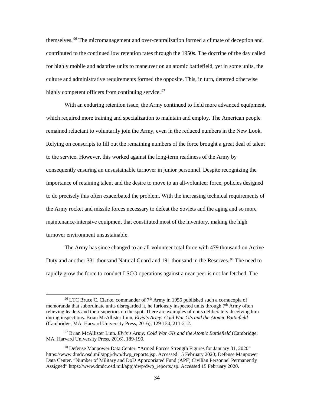themselves.<sup>96</sup> The micromanagement and over-centralization formed a climate of deception and contributed to the continued low retention rates through the 1950s. The doctrine of the day called for highly mobile and adaptive units to maneuver on an atomic battlefield, yet in some units, the culture and administrative requirements formed the opposite. This, in turn, deterred otherwise highly competent officers from continuing service.<sup>97</sup>

With an enduring retention issue, the Army continued to field more advanced equipment, which required more training and specialization to maintain and employ. The American people remained reluctant to voluntarily join the Army, even in the reduced numbers in the New Look. Relying on conscripts to fill out the remaining numbers of the force brought a great deal of talent to the service. However, this worked against the long-term readiness of the Army by consequently ensuring an unsustainable turnover in junior personnel. Despite recognizing the importance of retaining talent and the desire to move to an all-volunteer force, policies designed to do precisely this often exacerbated the problem. With the increasing technical requirements of the Army rocket and missile forces necessary to defeat the Soviets and the aging and so more maintenance-intensive equipment that constituted most of the inventory, making the high turnover environment unsustainable.

The Army has since changed to an all-volunteer total force with 479 thousand on Active Duty and another 331 thousand Natural Guard and 191 thousand in the Reserves.<sup>98</sup> The need to rapidly grow the force to conduct LSCO operations against a near-peer is not far-fetched. The

<sup>&</sup>lt;sup>96</sup> LTC Bruce C. Clarke, commander of  $7<sup>th</sup>$  Army in 1956 published such a cornucopia of memoranda that subordinate units disregarded it, he furiously inspected units through  $7<sup>th</sup>$  Army often relieving leaders and their superiors on the spot. There are examples of units deliberately deceiving him during inspections. Brian McAllister Linn, *Elvis's Army: Cold War GIs and the Atomic Battlefield* (Cambridge, MA: Harvard University Press, 2016), 129-130, 211-212.

<sup>97</sup> Brian McAllister Linn. *Elvis's Army: Cold War GIs and the Atomic Battlefield* (Cambridge, MA: Harvard University Press, 2016), 189-190.

<sup>98</sup> Defense Manpower Data Center. "Armed Forces Strength Figures for January 31, 2020" https://www.dmdc.osd.mil/appj/dwp/dwp\_reports.jsp. Accessed 15 February 2020; Defense Manpower Data Center. "Number of Military and DoD Appropriated Fund (APF) Civilian Personnel Permanently Assigned" https://www.dmdc.osd.mil/appj/dwp/dwp\_reports.jsp. Accessed 15 February 2020.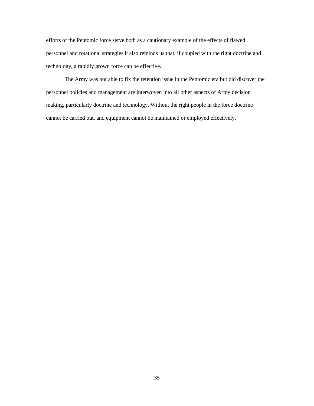efforts of the Pentomic force serve both as a cautionary example of the effects of flawed personnel and rotational strategies it also reminds us that, if coupled with the right doctrine and technology, a rapidly grown force can be effective.

The Army was not able to fix the retention issue in the Pentomic era but did discover the personnel policies and management are interwoven into all other aspects of Army decision making, particularly doctrine and technology. Without the right people in the force doctrine cannot be carried out, and equipment cannot be maintained or employed effectively.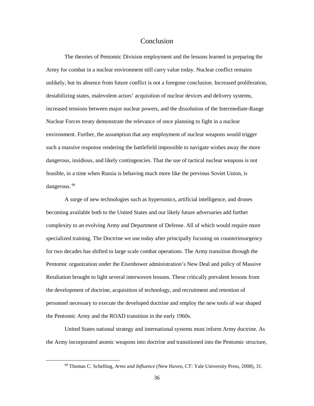#### Conclusion

The theories of Pentomic Division employment and the lessons learned in preparing the Army for combat in a nuclear environment still carry value today. Nuclear conflict remains unlikely, but its absence from future conflict is not a foregone conclusion. Increased proliferation, destabilizing states, malevolent actors' acquisition of nuclear devices and delivery systems, increased tensions between major nuclear powers, and the dissolution of the Intermediate-Range Nuclear Forces treaty demonstrate the relevance of once planning to fight in a nuclear environment. Further, the assumption that any employment of nuclear weapons would trigger such a massive response rendering the battlefield impossible to navigate wishes away the more dangerous, insidious, and likely contingencies. That the use of tactical nuclear weapons is not feasible, in a time when Russia is behaving much more like the previous Soviet Union, is dangerous.<sup>99</sup>

A surge of new technologies such as hypersonics, artificial intelligence, and drones becoming available both to the United States and our likely future adversaries add further complexity to an evolving Army and Department of Defense. All of which would require more specialized training. The Doctrine we use today after principally focusing on counterinsurgency for two decades has shifted to large scale combat operations. The Army transition through the Pentomic organization under the Eisenhower administration's New Deal and policy of Massive Retaliation brought to light several interwoven lessons. These critically prevalent lessons from the development of doctrine, acquisition of technology, and recruitment and retention of personnel necessary to execute the developed doctrine and employ the new tools of war shaped the Pentomic Army and the ROAD transition in the early 1960s.

United States national strategy and international systems must inform Army doctrine. As the Army incorporated atomic weapons into doctrine and transitioned into the Pentomic structure,

<sup>99</sup> Thomas C. Schelling, *Arms and Influence* (New Haven, CT: Yale University Press, 2008), 31.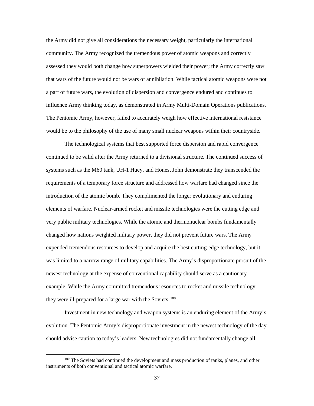the Army did not give all considerations the necessary weight, particularly the international community. The Army recognized the tremendous power of atomic weapons and correctly assessed they would both change how superpowers wielded their power; the Army correctly saw that wars of the future would not be wars of annihilation. While tactical atomic weapons were not a part of future wars, the evolution of dispersion and convergence endured and continues to influence Army thinking today, as demonstrated in Army Multi-Domain Operations publications. The Pentomic Army, however, failed to accurately weigh how effective international resistance would be to the philosophy of the use of many small nuclear weapons within their countryside.

The technological systems that best supported force dispersion and rapid convergence continued to be valid after the Army returned to a divisional structure. The continued success of systems such as the M60 tank, UH-1 Huey, and Honest John demonstrate they transcended the requirements of a temporary force structure and addressed how warfare had changed since the introduction of the atomic bomb. They complimented the longer evolutionary and enduring elements of warfare. Nuclear-armed rocket and missile technologies were the cutting edge and very public military technologies. While the atomic and thermonuclear bombs fundamentally changed how nations weighted military power, they did not prevent future wars. The Army expended tremendous resources to develop and acquire the best cutting-edge technology, but it was limited to a narrow range of military capabilities. The Army's disproportionate pursuit of the newest technology at the expense of conventional capability should serve as a cautionary example. While the Army committed tremendous resources to rocket and missile technology, they were ill-prepared for a large war with the Soviets.<sup>100</sup>

Investment in new technology and weapon systems is an enduring element of the Army's evolution. The Pentomic Army's disproportionate investment in the newest technology of the day should advise caution to today's leaders. New technologies did not fundamentally change all

<sup>&</sup>lt;sup>100</sup> The Soviets had continued the development and mass production of tanks, planes, and other instruments of both conventional and tactical atomic warfare.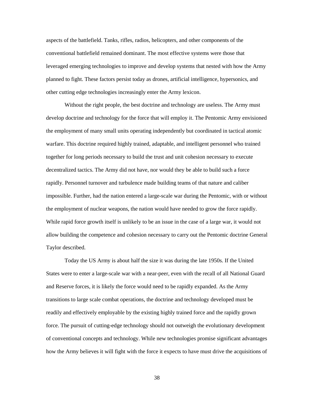aspects of the battlefield. Tanks, rifles, radios, helicopters, and other components of the conventional battlefield remained dominant. The most effective systems were those that leveraged emerging technologies to improve and develop systems that nested with how the Army planned to fight. These factors persist today as drones, artificial intelligence, hypersonics, and other cutting edge technologies increasingly enter the Army lexicon.

Without the right people, the best doctrine and technology are useless. The Army must develop doctrine and technology for the force that will employ it. The Pentomic Army envisioned the employment of many small units operating independently but coordinated in tactical atomic warfare. This doctrine required highly trained, adaptable, and intelligent personnel who trained together for long periods necessary to build the trust and unit cohesion necessary to execute decentralized tactics. The Army did not have, nor would they be able to build such a force rapidly. Personnel turnover and turbulence made building teams of that nature and caliber impossible. Further, had the nation entered a large-scale war during the Pentomic, with or without the employment of nuclear weapons, the nation would have needed to grow the force rapidly. While rapid force growth itself is unlikely to be an issue in the case of a large war, it would not allow building the competence and cohesion necessary to carry out the Pentomic doctrine General Taylor described.

Today the US Army is about half the size it was during the late 1950s. If the United States were to enter a large-scale war with a near-peer, even with the recall of all National Guard and Reserve forces, it is likely the force would need to be rapidly expanded. As the Army transitions to large scale combat operations, the doctrine and technology developed must be readily and effectively employable by the existing highly trained force and the rapidly grown force. The pursuit of cutting-edge technology should not outweigh the evolutionary development of conventional concepts and technology. While new technologies promise significant advantages how the Army believes it will fight with the force it expects to have must drive the acquisitions of

38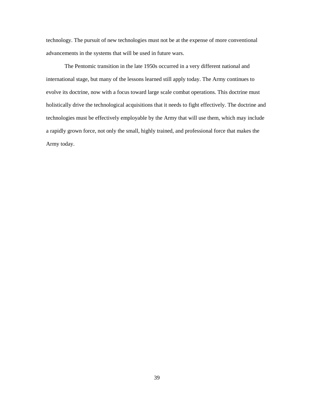technology. The pursuit of new technologies must not be at the expense of more conventional advancements in the systems that will be used in future wars.

The Pentomic transition in the late 1950s occurred in a very different national and international stage, but many of the lessons learned still apply today. The Army continues to evolve its doctrine, now with a focus toward large scale combat operations. This doctrine must holistically drive the technological acquisitions that it needs to fight effectively. The doctrine and technologies must be effectively employable by the Army that will use them, which may include a rapidly grown force, not only the small, highly trained, and professional force that makes the Army today.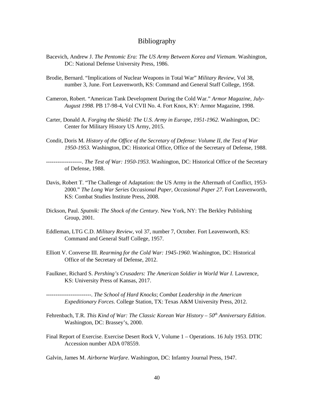#### Bibliography

- Bacevich, Andrew J. *The Pentomic Era: The US Army Between Korea and Vietnam*. Washington, DC: National Defense University Press, 1986.
- Brodie, Bernard. "Implications of Nuclear Weapons in Total War" *Military Review,* Vol 38, number 3, June. Fort Leavenworth, KS: Command and General Staff College, 1958.
- Cameron, Robert. "American Tank Development During the Cold War*.*" *Armor Magazine, July-August 1998*. PB 17-98-4, Vol CVII No. 4. Fort Knox, KY: Armor Magazine, 1998.
- Carter, Donald A. *Forging the Shield: The U.S. Army in Europe, 1951-1962.* Washington, DC: Center for Military History US Army, 2015.
- Condit, Doris M. *History of the Office of the Secretary of Defense: Volume II, the Test of War 1950-1953.* Washington, DC: Historical Office, Office of the Secretary of Defense, 1988.

-------------------. *The Test of War: 1950-1953*. Washington, DC: Historical Office of the Secretary of Defense, 1988.

- Davis, Robert T. "The Challenge of Adaptation: the US Army in the Aftermath of Conflict, 1953- 2000." *The Long War Series Occasional Paper, Occasional Paper 27*. Fort Leavenworth, KS: Combat Studies Institute Press, 2008.
- Dickson, Paul. *Sputnik: The Shock of the Century.* New York, NY: The Berkley Publishing Group, 2001.
- Eddleman, LTG C.D. *Military Review,* vol 37, number 7, October*.* Fort Leavenworth, KS: Command and General Staff College, 1957.
- Elliott V. Converse III. *Rearming for the Cold War: 1945-1960*. Washington, DC: Historical Office of the Secretary of Defense, 2012.
- Faulkner, Richard S. *Pershing's Crusaders: The American Soldier in World War I.* Lawrence, KS: University Press of Kansas, 2017.

------------------------. *The School of Hard Knocks*; *Combat Leadership in the American Expeditionary Forces*. College Station, TX: Texas A&M University Press, 2012.

- Fehrenbach, T.R. *This Kind of War: The Classic Korean War History 50<sup>th</sup> Anniversary Edition*. Washington, DC: Brassey's, 2000.
- Final Report of Exercise. Exercise Desert Rock V, Volume 1 Operations. 16 July 1953. DTIC Accession number ADA 078559.

Galvin, James M. *Airborne Warfare*. Washington, DC: Infantry Journal Press, 1947.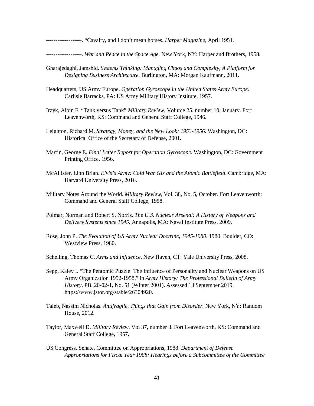-------------------. "Cavalry, and I don't mean horses. *Harper Magazine,* April 1954.

-------------------. *War and Peace in the Space Age.* New York, NY: Harper and Brothers, 1958.

- Gharajedaghi, Jamshid. *Systems Thinking: Managing Chaos and Complexity, A Platform for Designing Business Architecture.* Burlington, MA: Morgan Kaufmann, 2011.
- Headquarters, US Army Europe. *Operation Gyroscope in the United States Army Europe.*  Carlisle Barracks, PA: US Army Military History Institute, 1957.
- Irzyk, Albin F. "Tank versus Tank" *Military Review,* Volume 25, number 10, January. Fort Leavenworth, KS: Command and General Staff College, 1946.
- Leighton, Richard M. *Strategy, Money, and the New Look: 1953-1956*. Washington, DC: Historical Office of the Secretary of Defense, 2001.
- Martin, George E. *Final Letter Report for Operation Gyroscope.* Washington, DC: Government Printing Office, 1956.
- McAllister, Linn Brian. *Elvis's Army: Cold War GIs and the Atomic Battlefield*. Cambridge, MA: Harvard University Press, 2016.
- Military Notes Around the World. *Military Review,* Vol. 38, No. 5, October. Fort Leavenworth: Command and General Staff College, 1958.
- Polmar, Norman and Robert S. Norris. *The U.S. Nuclear Arsenal: A History of Weapons and Delivery Systems since 1945.* Annapolis, MA: Naval Institute Press, 2009.
- Rose, John P. *The Evolution of US Army Nuclear Doctrine, 1945-1980*. 1980. Boulder, CO: Westview Press, 1980.
- Schelling, Thomas C. *Arms and Influence*. New Haven, CT: Yale University Press, 2008.
- Sepp, Kalev I. "The Pentomic Puzzle: The Influence of Personality and Nuclear Weapons on US Army Organization 1952-1958." in *Army History: The Professional Bulletin of Army History*. PB. 20-02-1, No. 51 (Winter 2001). Assessed 13 September 2019. https://www.jstor.org/stable/26304920.
- Taleb, Nassim Nicholas. *Antifragile, Things that Gain from Disorder.* New York, NY: Random House, 2012.
- Taylor, Maxwell D. *Military Review*. Vol 37, number 3. Fort Leavenworth, KS: Command and General Staff College, 1957.
- US Congress. Senate. Committee on Appropriations, 1988. *Department of Defense Appropriations for Fiscal Year 1988: Hearings before a Subcommittee of the Committee*